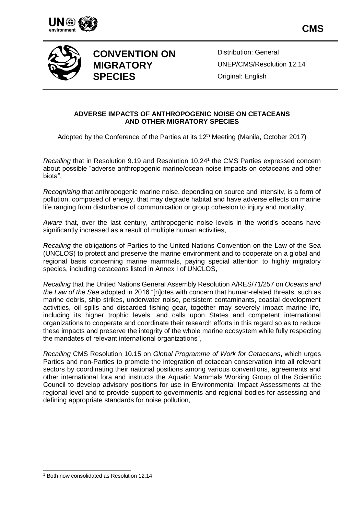



# **CONVENTION ON MIGRATORY SPECIES**

Distribution: General UNEP/CMS/Resolution 12.14 Original: English

#### **ADVERSE IMPACTS OF ANTHROPOGENIC NOISE ON CETACEANS AND OTHER MIGRATORY SPECIES**

Adopted by the Conference of the Parties at its 12<sup>th</sup> Meeting (Manila, October 2017)

Recalling that in Resolution 9.19 and Resolution 10.24<sup>1</sup> the CMS Parties expressed concern about possible "adverse anthropogenic marine/ocean noise impacts on cetaceans and other biota",

*Recognizing* that anthropogenic marine noise, depending on source and intensity, is a form of pollution, composed of energy, that may degrade habitat and have adverse effects on marine life ranging from disturbance of communication or group cohesion to injury and mortality,

*Aware* that, over the last century, anthropogenic noise levels in the world's oceans have significantly increased as a result of multiple human activities,

*Recalling* the obligations of Parties to the United Nations Convention on the Law of the Sea (UNCLOS) to protect and preserve the marine environment and to cooperate on a global and regional basis concerning marine mammals, paying special attention to highly migratory species, including cetaceans listed in Annex I of UNCLOS,

*Recalling* that the United Nations General Assembly Resolution A/RES/71/257 on *Oceans and the Law of the Sea* adopted in 2016 "[n]otes with concern that human-related threats, such as marine debris, ship strikes, underwater noise, persistent contaminants, coastal development activities, oil spills and discarded fishing gear, together may severely impact marine life, including its higher trophic levels, and calls upon States and competent international organizations to cooperate and coordinate their research efforts in this regard so as to reduce these impacts and preserve the integrity of the whole marine ecosystem while fully respecting the mandates of relevant international organizations",

*Recalling* CMS Resolution 10.15 on *Global Programme of Work for Cetaceans*, which urges Parties and non-Parties to promote the integration of cetacean conservation into all relevant sectors by coordinating their national positions among various conventions, agreements and other international fora and instructs the Aquatic Mammals Working Group of the Scientific Council to develop advisory positions for use in Environmental Impact Assessments at the regional level and to provide support to governments and regional bodies for assessing and defining appropriate standards for noise pollution,

l

<sup>1</sup> Both now consolidated as Resolution 12.14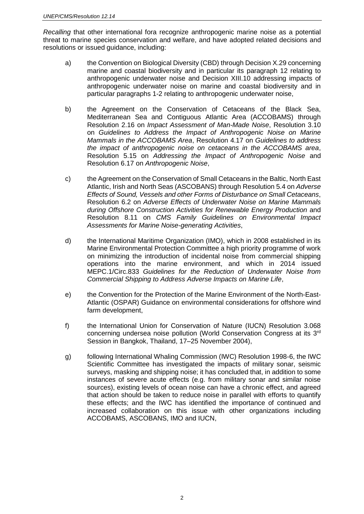*Recalling* that other international fora recognize anthropogenic marine noise as a potential threat to marine species conservation and welfare, and have adopted related decisions and resolutions or issued guidance, including:

- a) the Convention on Biological Diversity (CBD) through Decision X.29 concerning marine and coastal biodiversity and in particular its paragraph 12 relating to anthropogenic underwater noise and Decision XIII.10 addressing impacts of anthropogenic underwater noise on marine and coastal biodiversity and in particular paragraphs 1-2 relating to anthropogenic underwater noise,
- b) the Agreement on the Conservation of Cetaceans of the Black Sea, Mediterranean Sea and Contiguous Atlantic Area (ACCOBAMS) through Resolution 2.16 on *Impact Assessment of Man-Made Noise*, Resolution 3.10 on *Guidelines to Address the Impact of Anthropogenic Noise on Marine Mammals in the ACCOBAMS Area*, Resolution 4.17 on *Guidelines to address the impact of anthropogenic noise on cetaceans in the ACCOBAMS area*, Resolution 5.15 on *Addressing the Impact of Anthropogenic Noise* and Resolution 6.17 on *Anthropogenic Noise*,
- c) the Agreement on the Conservation of Small Cetaceans in the Baltic, North East Atlantic, Irish and North Seas (ASCOBANS) through Resolution 5.4 on *Adverse Effects of Sound, Vessels and other Forms of Disturbance on Small Cetaceans*, Resolution 6.2 on *Adverse Effects of Underwater Noise on Marine Mammals during Offshore Construction Activities for Renewable Energy Production* and Resolution 8.11 on *CMS Family Guidelines on Environmental Impact Assessments for Marine Noise-generating Activities*,
- d) the International Maritime Organization (IMO), which in 2008 established in its Marine Environmental Protection Committee a high priority programme of work on minimizing the introduction of incidental noise from commercial shipping operations into the marine environment, and which in 2014 issued MEPC.1/Circ.833 *Guidelines for the Reduction of Underwater Noise from Commercial Shipping to Address Adverse Impacts on Marine Life*,
- e) the Convention for the Protection of the Marine Environment of the North-East-Atlantic (OSPAR) Guidance on environmental considerations for offshore wind farm development,
- f) the International Union for Conservation of Nature (IUCN) Resolution 3.068 concerning undersea noise pollution (World Conservation Congress at its 3<sup>rd</sup> Session in Bangkok, Thailand, 17–25 November 2004),
- g) following International Whaling Commission (IWC) Resolution 1998-6, the IWC Scientific Committee has investigated the impacts of military sonar, seismic surveys, masking and shipping noise; it has concluded that, in addition to some instances of severe acute effects (e.g. from military sonar and similar noise sources), existing levels of ocean noise can have a chronic effect, and agreed that action should be taken to reduce noise in parallel with efforts to quantify these effects; and the IWC has identified the importance of continued and increased collaboration on this issue with other organizations including ACCOBAMS, ASCOBANS, IMO and IUCN,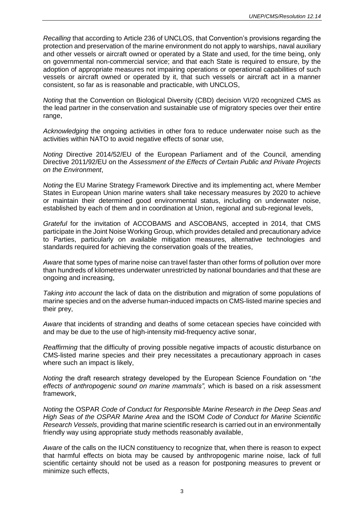*Recalling* that according to Article 236 of UNCLOS, that Convention's provisions regarding the protection and preservation of the marine environment do not apply to warships, naval auxiliary and other vessels or aircraft owned or operated by a State and used, for the time being, only on governmental non-commercial service; and that each State is required to ensure, by the adoption of appropriate measures not impairing operations or operational capabilities of such vessels or aircraft owned or operated by it, that such vessels or aircraft act in a manner consistent, so far as is reasonable and practicable, with UNCLOS,

*Noting* that the Convention on Biological Diversity (CBD) decision VI/20 recognized CMS as the lead partner in the conservation and sustainable use of migratory species over their entire range,

*Acknowledging* the ongoing activities in other fora to reduce underwater noise such as the activities within NATO to avoid negative effects of sonar use,

*Noting* Directive 2014/52/EU of the European Parliament and of the Council, amending Directive 2011/92/EU on the *Assessment of the Effects of Certain Public and Private Projects on the Environment*,

*Noting* the EU Marine Strategy Framework Directive and its implementing act, where Member States in European Union marine waters shall take necessary measures by 2020 to achieve or maintain their determined good environmental status, including on underwater noise, established by each of them and in coordination at Union, regional and sub-regional levels,

*Grateful* for the invitation of ACCOBAMS and ASCOBANS, accepted in 2014, that CMS participate in the Joint Noise Working Group, which provides detailed and precautionary advice to Parties, particularly on available mitigation measures, alternative technologies and standards required for achieving the conservation goals of the treaties,

*Aware* that some types of marine noise can travel faster than other forms of pollution over more than hundreds of kilometres underwater unrestricted by national boundaries and that these are ongoing and increasing,

*Taking into account* the lack of data on the distribution and migration of some populations of marine species and on the adverse human-induced impacts on CMS-listed marine species and their prey,

*Aware* that incidents of stranding and deaths of some cetacean species have coincided with and may be due to the use of high-intensity mid-frequency active sonar,

*Reaffirming* that the difficulty of proving possible negative impacts of acoustic disturbance on CMS-listed marine species and their prey necessitates a precautionary approach in cases where such an impact is likely,

*Noting* the draft research strategy developed by the European Science Foundation on "*the effects of anthropogenic sound on marine mammals",* which is based on a risk assessment framework,

*Noting* the OSPAR *Code of Conduct for Responsible Marine Research in the Deep Seas and High Seas of the OSPAR Marine Area* and the ISOM *Code of Conduct for Marine Scientific Research Vessels*, providing that marine scientific research is carried out in an environmentally friendly way using appropriate study methods reasonably available,

*Aware* of the calls on the IUCN constituency to recognize that, when there is reason to expect that harmful effects on biota may be caused by anthropogenic marine noise, lack of full scientific certainty should not be used as a reason for postponing measures to prevent or minimize such effects,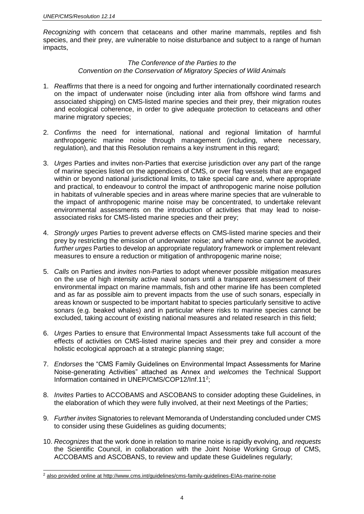*Recognizing* with concern that cetaceans and other marine mammals, reptiles and fish species, and their prey, are vulnerable to noise disturbance and subject to a range of human impacts,

#### *The Conference of the Parties to the Convention on the Conservation of Migratory Species of Wild Animals*

- 1. *Reaffirms* that there is a need for ongoing and further internationally coordinated research on the impact of underwater noise (including inter alia from offshore wind farms and associated shipping) on CMS-listed marine species and their prey, their migration routes and ecological coherence, in order to give adequate protection to cetaceans and other marine migratory species;
- 2. *Confirms* the need for international, national and regional limitation of harmful anthropogenic marine noise through management (including, where necessary, regulation), and that this Resolution remains a key instrument in this regard;
- 3. *Urges* Parties and invites non-Parties that exercise jurisdiction over any part of the range of marine species listed on the appendices of CMS, or over flag vessels that are engaged within or beyond national jurisdictional limits, to take special care and, where appropriate and practical, to endeavour to control the impact of anthropogenic marine noise pollution in habitats of vulnerable species and in areas where marine species that are vulnerable to the impact of anthropogenic marine noise may be concentrated, to undertake relevant environmental assessments on the introduction of activities that may lead to noiseassociated risks for CMS-listed marine species and their prey;
- 4. *Strongly urges* Parties to prevent adverse effects on CMS-listed marine species and their prey by restricting the emission of underwater noise; and where noise cannot be avoided, *further urges* Parties to develop an appropriate regulatory framework or implement relevant measures to ensure a reduction or mitigation of anthropogenic marine noise;
- 5. *Calls* on Parties and *invites* non-Parties to adopt whenever possible mitigation measures on the use of high intensity active naval sonars until a transparent assessment of their environmental impact on marine mammals, fish and other marine life has been completed and as far as possible aim to prevent impacts from the use of such sonars, especially in areas known or suspected to be important habitat to species particularly sensitive to active sonars (e.g. beaked whales) and in particular where risks to marine species cannot be excluded, taking account of existing national measures and related research in this field;
- 6. *Urges* Parties to ensure that Environmental Impact Assessments take full account of the effects of activities on CMS-listed marine species and their prey and consider a more holistic ecological approach at a strategic planning stage;
- 7. *Endorses* the "CMS Family Guidelines on Environmental Impact Assessments for Marine Noise-generating Activities" attached as Annex and *welcomes* the Technical Support Information contained in UNEP/CMS/COP12/Inf.11<sup>2</sup>;
- 8. *Invites* Parties to ACCOBAMS and ASCOBANS to consider adopting these Guidelines, in the elaboration of which they were fully involved, at their next Meetings of the Parties;
- 9. *Further invites* Signatories to relevant Memoranda of Understanding concluded under CMS to consider using these Guidelines as guiding documents;
- 10. *Recognizes* that the work done in relation to marine noise is rapidly evolving, and *requests* the Scientific Council, in collaboration with the Joint Noise Working Group of CMS, ACCOBAMS and ASCOBANS, to review and update these Guidelines regularly;

l

<sup>2</sup> also provided online at http://www.cms.int/guidelines/cms-family-guidelines-EIAs-marine-noise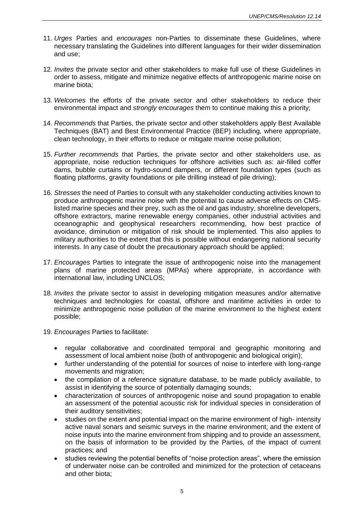- 11. *Urges* Parties and *encourages* non-Parties to disseminate these Guidelines, where necessary translating the Guidelines into different languages for their wider dissemination and use;
- 12. *Invites* the private sector and other stakeholders to make full use of these Guidelines in order to assess, mitigate and minimize negative effects of anthropogenic marine noise on marine biota;
- 13. *Welcomes* the efforts of the private sector and other stakeholders to reduce their environmental impact and *strongly encourages* them to continue making this a priority;
- 14. *Recommends* that Parties, the private sector and other stakeholders apply Best Available Techniques (BAT) and Best Environmental Practice (BEP) including, where appropriate, clean technology, in their efforts to reduce or mitigate marine noise pollution;
- 15. *Further recommends* that Parties, the private sector and other stakeholders use, as appropriate, noise reduction techniques for offshore activities such as: air-filled coffer dams, bubble curtains or hydro-sound dampers, or different foundation types (such as floating platforms, gravity foundations or pile drilling instead of pile driving);
- 16. *Stresses* the need of Parties to consult with any stakeholder conducting activities known to produce anthropogenic marine noise with the potential to cause adverse effects on CMSlisted marine species and their prey, such as the oil and gas industry, shoreline developers, offshore extractors, marine renewable energy companies, other industrial activities and oceanographic and geophysical researchers recommending, how best practice of avoidance, diminution or mitigation of risk should be implemented. This also applies to military authorities to the extent that this is possible without endangering national security interests. In any case of doubt the precautionary approach should be applied;
- 17. *Encourages* Parties to integrate the issue of anthropogenic noise into the management plans of marine protected areas (MPAs) where appropriate, in accordance with international law, including UNCLOS;
- 18. *Invites* the private sector to assist in developing mitigation measures and/or alternative techniques and technologies for coastal, offshore and maritime activities in order to minimize anthropogenic noise pollution of the marine environment to the highest extent possible;
- 19. *Encourages* Parties to facilitate:
	- regular collaborative and coordinated temporal and geographic monitoring and assessment of local ambient noise (both of anthropogenic and biological origin);
	- further understanding of the potential for sources of noise to interfere with long-range movements and migration;
	- the compilation of a reference signature database, to be made publicly available, to assist in identifying the source of potentially damaging sounds;
	- characterization of sources of anthropogenic noise and sound propagation to enable an assessment of the potential acoustic risk for individual species in consideration of their auditory sensitivities;
	- studies on the extent and potential impact on the marine environment of high- intensity active naval sonars and seismic surveys in the marine environment; and the extent of noise inputs into the marine environment from shipping and to provide an assessment, on the basis of information to be provided by the Parties, of the impact of current practices; and
	- studies reviewing the potential benefits of "noise protection areas", where the emission of underwater noise can be controlled and minimized for the protection of cetaceans and other biota;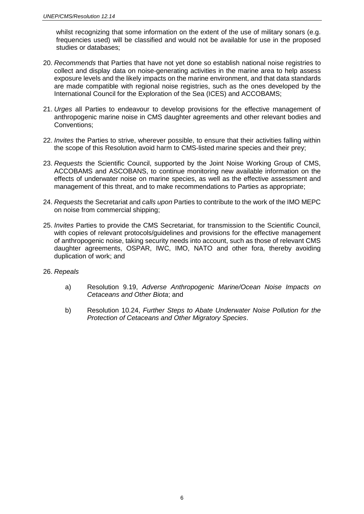whilst recognizing that some information on the extent of the use of military sonars (e.g. frequencies used) will be classified and would not be available for use in the proposed studies or databases;

- 20. *Recommends* that Parties that have not yet done so establish national noise registries to collect and display data on noise-generating activities in the marine area to help assess exposure levels and the likely impacts on the marine environment, and that data standards are made compatible with regional noise registries, such as the ones developed by the International Council for the Exploration of the Sea (ICES) and ACCOBAMS;
- 21. *Urges* all Parties to endeavour to develop provisions for the effective management of anthropogenic marine noise in CMS daughter agreements and other relevant bodies and Conventions;
- 22. *Invites* the Parties to strive, wherever possible, to ensure that their activities falling within the scope of this Resolution avoid harm to CMS-listed marine species and their prey;
- 23. *Requests* the Scientific Council, supported by the Joint Noise Working Group of CMS, ACCOBAMS and ASCOBANS, to continue monitoring new available information on the effects of underwater noise on marine species, as well as the effective assessment and management of this threat, and to make recommendations to Parties as appropriate;
- 24. *Requests* the Secretariat and *calls upon* Parties to contribute to the work of the IMO MEPC on noise from commercial shipping;
- 25. *Invites* Parties to provide the CMS Secretariat, for transmission to the Scientific Council, with copies of relevant protocols/guidelines and provisions for the effective management of anthropogenic noise, taking security needs into account, such as those of relevant CMS daughter agreements, OSPAR, IWC, IMO, NATO and other fora, thereby avoiding duplication of work; and
- 26. *Repeals* 
	- a) Resolution 9.19, *Adverse Anthropogenic Marine/Ocean Noise Impacts on Cetaceans and Other Biota*; and
	- b) Resolution 10.24, *Further Steps to Abate Underwater Noise Pollution for the Protection of Cetaceans and Other Migratory Species*.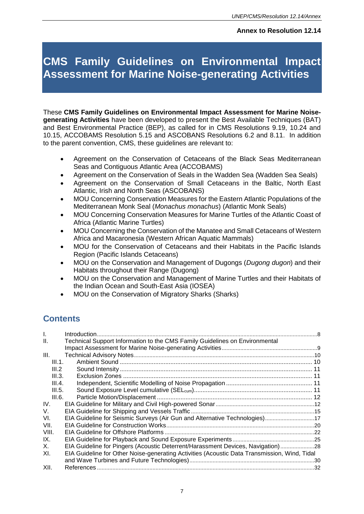# **CMS Family Guidelines on Environmental Impact Assessment for Marine Noise-generating Activities**

These **CMS Family Guidelines on Environmental Impact Assessment for Marine Noisegenerating Activities** have been developed to present the Best Available Techniques (BAT) and Best Environmental Practice (BEP), as called for in CMS Resolutions 9.19, 10.24 and 10.15, ACCOBAMS Resolution 5.15 and ASCOBANS Resolutions 6.2 and 8.11. In addition to the parent convention, CMS, these guidelines are relevant to:

- Agreement on the Conservation of Cetaceans of the Black Seas Mediterranean Seas and Contiguous Atlantic Area (ACCOBAMS)
- Agreement on the Conservation of Seals in the Wadden Sea (Wadden Sea Seals)
- Agreement on the Conservation of Small Cetaceans in the Baltic, North East Atlantic, Irish and North Seas (ASCOBANS)
- MOU Concerning Conservation Measures for the Eastern Atlantic Populations of the Mediterranean Monk Seal (*Monachus monachus*) (Atlantic Monk Seals)
- MOU Concerning Conservation Measures for Marine Turtles of the Atlantic Coast of Africa (Atlantic Marine Turtles)
- MOU Concerning the Conservation of the Manatee and Small Cetaceans of Western Africa and Macaronesia (Western African Aquatic Mammals)
- MOU for the Conservation of Cetaceans and their Habitats in the Pacific Islands Region (Pacific Islands Cetaceans)
- MOU on the Conservation and Management of Dugongs (*Dugong dugon*) and their Habitats throughout their Range (Dugong)
- MOU on the Conservation and Management of Marine Turtles and their Habitats of the Indian Ocean and South-East Asia (IOSEA)
- MOU on the Conservation of Migratory Sharks (Sharks)

# **Contents**

| $\mathbf{L}$ |                                                                                              |  |
|--------------|----------------------------------------------------------------------------------------------|--|
| Ш.           | Technical Support Information to the CMS Family Guidelines on Environmental                  |  |
|              |                                                                                              |  |
| III.         |                                                                                              |  |
| III.1.       |                                                                                              |  |
| III.2        |                                                                                              |  |
| III.3.       |                                                                                              |  |
| III.4.       |                                                                                              |  |
| III.5.       |                                                                                              |  |
| III.6.       |                                                                                              |  |
| IV.          |                                                                                              |  |
| V.           |                                                                                              |  |
| VI.          | EIA Guideline for Seismic Surveys (Air Gun and Alternative Technologies)17                   |  |
| VII.         |                                                                                              |  |
| VIII.        |                                                                                              |  |
| IX.          |                                                                                              |  |
| Χ.           | EIA Guideline for Pingers (Acoustic Deterrent/Harassment Devices, Navigation) 28             |  |
| XI.          | EIA Guideline for Other Noise-generating Activities (Acoustic Data Transmission, Wind, Tidal |  |
|              |                                                                                              |  |
| XII.         |                                                                                              |  |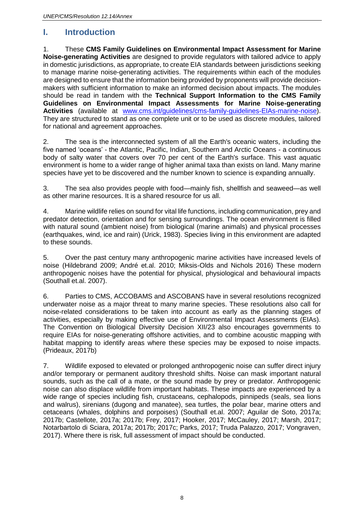### <span id="page-7-0"></span>**I. Introduction**

1. These **CMS Family Guidelines on Environmental Impact Assessment for Marine Noise-generating Activities** are designed to provide regulators with tailored advice to apply in domestic jurisdictions, as appropriate, to create EIA standards between jurisdictions seeking to manage marine noise-generating activities. The requirements within each of the modules are designed to ensure that the information being provided by proponents will provide decisionmakers with sufficient information to make an informed decision about impacts. The modules should be read in tandem with the **Technical Support Information to the CMS Family Guidelines on Environmental Impact Assessments for Marine Noise-generating Activities** (available at [www.cms.int/guidelines/cms-family-guidelines-EIAs-marine-noise\)](http://www.cms.int/guidelines/cms-family-guidelines-EIAs-marine-noise). They are structured to stand as one complete unit or to be used as discrete modules, tailored for national and agreement approaches.

2. The sea is the interconnected system of all the Earth's oceanic waters, including the five named 'oceans' - the Atlantic, Pacific, Indian, Southern and Arctic Oceans - a continuous body of salty water that covers over 70 per cent of the Earth's surface. This vast aquatic environment is home to a wider range of higher animal taxa than exists on land. Many marine species have yet to be discovered and the number known to science is expanding annually.

3. The sea also provides people with food—mainly fish, shellfish and seaweed—as well as other marine resources. It is a shared resource for us all.

4. Marine wildlife relies on sound for vital life functions, including communication, prey and predator detection, orientation and for sensing surroundings. The ocean environment is filled with natural sound (ambient noise) from biological (marine animals) and physical processes (earthquakes, wind, ice and rain) (Urick, 1983). Species living in this environment are adapted to these sounds.

5. Over the past century many anthropogenic marine activities have increased levels of noise (Hildebrand 2009; André et.al. 2010; Miksis-Olds and Nichols 2016) These modern anthropogenic noises have the potential for physical, physiological and behavioural impacts (Southall et.al. 2007).

6. Parties to CMS, ACCOBAMS and ASCOBANS have in several resolutions recognized underwater noise as a major threat to many marine species. These resolutions also call for noise-related considerations to be taken into account as early as the planning stages of activities, especially by making effective use of Environmental Impact Assessments (EIAs). The Convention on Biological Diversity Decision XII/23 also encourages governments to require EIAs for noise-generating offshore activities, and to combine acoustic mapping with habitat mapping to identify areas where these species may be exposed to noise impacts. (Prideaux, 2017b)

7. Wildlife exposed to elevated or prolonged anthropogenic noise can suffer direct injury and/or temporary or permanent auditory threshold shifts. Noise can mask important natural sounds, such as the call of a mate, or the sound made by prey or predator. Anthropogenic noise can also displace wildlife from important habitats. These impacts are experienced by a wide range of species including fish, crustaceans, cephalopods, pinnipeds (seals, sea lions and walrus), sirenians (dugong and manatee), sea turtles, the polar bear, marine otters and cetaceans (whales, dolphins and porpoises) (Southall et.al. 2007; Aguilar de Soto, 2017a; 2017b; Castellote, 2017a; 2017b; Frey, 2017; Hooker, 2017; McCauley, 2017; Marsh, 2017; Notarbartolo di Sciara, 2017a; 2017b; 2017c; Parks, 2017; Truda Palazzo, 2017; Vongraven, 2017). Where there is risk, full assessment of impact should be conducted.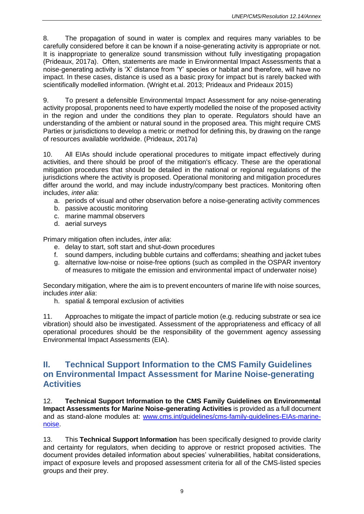8. The propagation of sound in water is complex and requires many variables to be carefully considered before it can be known if a noise-generating activity is appropriate or not. It is inappropriate to generalize sound transmission without fully investigating propagation (Prideaux, 2017a). Often, statements are made in Environmental Impact Assessments that a noise-generating activity is 'X' distance from 'Y' species or habitat and therefore, will have no impact. In these cases, distance is used as a basic proxy for impact but is rarely backed with scientifically modelled information. (Wright et.al. 2013; Prideaux and Prideaux 2015)

9. To present a defensible Environmental Impact Assessment for any noise-generating activity proposal, proponents need to have expertly modelled the noise of the proposed activity in the region and under the conditions they plan to operate. Regulators should have an understanding of the ambient or natural sound in the proposed area. This might require CMS Parties or jurisdictions to develop a metric or method for defining this, by drawing on the range of resources available worldwide. (Prideaux, 2017a)

10. All EIAs should include operational procedures to mitigate impact effectively during activities, and there should be proof of the mitigation's efficacy. These are the operational mitigation procedures that should be detailed in the national or regional regulations of the jurisdictions where the activity is proposed. Operational monitoring and mitigation procedures differ around the world, and may include industry/company best practices. Monitoring often includes, *inter alia*:

- a. periods of visual and other observation before a noise-generating activity commences
- b. passive acoustic monitoring
- c. marine mammal observers
- d. aerial surveys

Primary mitigation often includes, *inter alia*:

- e. delay to start, soft start and shut-down procedures
- f. sound dampers, including bubble curtains and cofferdams; sheathing and jacket tubes
- g. alternative low-noise or noise-free options (such as compiled in the OSPAR inventory of measures to mitigate the emission and environmental impact of underwater noise)

Secondary mitigation, where the aim is to prevent encounters of marine life with noise sources, includes *inter alia*:

h. spatial & temporal exclusion of activities

11. Approaches to mitigate the impact of particle motion (e.g. reducing substrate or sea ice vibration) should also be investigated. Assessment of the appropriateness and efficacy of all operational procedures should be the responsibility of the government agency assessing Environmental Impact Assessments (EIA).

### <span id="page-8-0"></span>**II. Technical Support Information to the CMS Family Guidelines on Environmental Impact Assessment for Marine Noise-generating Activities**

12. **Technical Support Information to the CMS Family Guidelines on Environmental Impact Assessments for Marine Noise-generating Activities** is provided as a full document and as stand-alone modules at: [www.cms.int/guidelines/cms-family-guidelines-EIAs-marine](http://www.cms.int/guidelines/cms-family-guidelines-EIAs-marine-noise)[noise.](http://www.cms.int/guidelines/cms-family-guidelines-EIAs-marine-noise)

13. This **Technical Support Information** has been specifically designed to provide clarity and certainty for regulators, when deciding to approve or restrict proposed activities. The document provides detailed information about species' vulnerabilities, habitat considerations, impact of exposure levels and proposed assessment criteria for all of the CMS-listed species groups and their prey.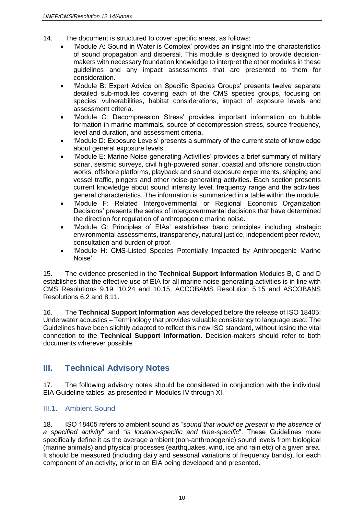- 14. The document is structured to cover specific areas, as follows:
	- 'Module A: Sound in Water is Complex' provides an insight into the characteristics of sound propagation and dispersal. This module is designed to provide decisionmakers with necessary foundation knowledge to interpret the other modules in these guidelines and any impact assessments that are presented to them for consideration.
	- 'Module B: Expert Advice on Specific Species Groups' presents twelve separate detailed sub-modules covering each of the CMS species groups, focusing on species' vulnerabilities, habitat considerations, impact of exposure levels and assessment criteria.
	- 'Module C: Decompression Stress' provides important information on bubble formation in marine mammals, source of decompression stress, source frequency, level and duration, and assessment criteria.
	- 'Module D: Exposure Levels' presents a summary of the current state of knowledge about general exposure levels.
	- 'Module E: Marine Noise-generating Activities' provides a brief summary of military sonar, seismic surveys, civil high-powered sonar, coastal and offshore construction works, offshore platforms, playback and sound exposure experiments, shipping and vessel traffic, pingers and other noise-generating activities. Each section presents current knowledge about sound intensity level, frequency range and the activities' general characteristics. The information is summarized in a table within the module.
	- 'Module F: Related Intergovernmental or Regional Economic Organization Decisions' presents the series of intergovernmental decisions that have determined the direction for regulation of anthropogenic marine noise.
	- 'Module G: Principles of EIAs' establishes basic principles including strategic environmental assessments, transparency, natural justice, independent peer review, consultation and burden of proof.
	- 'Module H: CMS-Listed Species Potentially Impacted by Anthropogenic Marine Noise'

15. The evidence presented in the **Technical Support Information** Modules B, C and D establishes that the effective use of EIA for all marine noise-generating activities is in line with CMS Resolutions 9.19, 10.24 and 10.15, ACCOBAMS Resolution 5.15 and ASCOBANS Resolutions 6.2 and 8.11.

16. The **Technical Support Information** was developed before the release of ISO 18405: Underwater acoustics – Terminology that provides valuable consistency to language used. The Guidelines have been slightly adapted to reflect this new ISO standard, without losing the vital connection to the **Technical Support Information**. Decision-makers should refer to both documents wherever possible.

### <span id="page-9-0"></span>**III. Technical Advisory Notes**

17. The following advisory notes should be considered in conjunction with the individual EIA Guideline tables, as presented in Modules IV through XI.

#### <span id="page-9-1"></span>III.1. Ambient Sound

18. ISO 18405 refers to ambient sound as "*sound that would be present in the absence of a specified activity*" and "*is location-specific and time-specific*". These Guidelines more specifically define it as the average ambient (non-anthropogenic) sound levels from biological (marine animals) and physical processes (earthquakes, wind, ice and rain etc) of a given area. It should be measured (including daily and seasonal variations of frequency bands), for each component of an activity, prior to an EIA being developed and presented.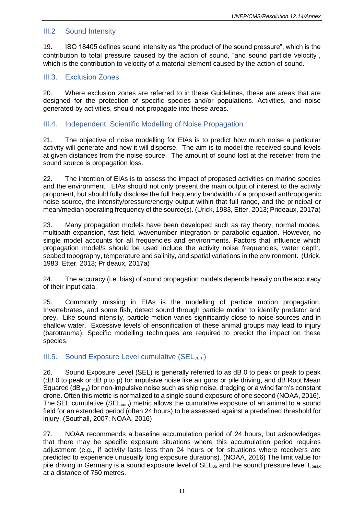#### <span id="page-10-0"></span>III.2 Sound Intensity

19. ISO 18405 defines sound intensity as "the product of the sound pressure", which is the contribution to total pressure caused by the action of sound, "and sound particle velocity", which is the contribution to velocity of a material element caused by the action of sound.

#### <span id="page-10-1"></span>III.3. Exclusion Zones

20. Where exclusion zones are referred to in these Guidelines, these are areas that are designed for the protection of specific species and/or populations. Activities, and noise generated by activities, should not propagate into these areas.

#### <span id="page-10-2"></span>III.4. Independent, Scientific Modelling of Noise Propagation

21. The objective of noise modelling for EIAs is to predict how much noise a particular activity will generate and how it will disperse. The aim is to model the received sound levels at given distances from the noise source. The amount of sound lost at the receiver from the sound source is propagation loss.

22. The intention of EIAs is to assess the impact of proposed activities on marine species and the environment. EIAs should not only present the main output of interest to the activity proponent, but should fully disclose the full frequency bandwidth of a proposed anthropogenic noise source, the intensity/pressure/energy output within that full range, and the principal or mean/median operating frequency of the source(s). (Urick, 1983, Etter, 2013; Prideaux, 2017a)

23. Many propagation models have been developed such as ray theory, normal modes, multipath expansion, fast field, wavenumber integration or parabolic equation. However, no single model accounts for all frequencies and environments. Factors that influence which propagation model/s should be used include the activity noise frequencies, water depth, seabed topography, temperature and salinity, and spatial variations in the environment. (Urick, 1983, Etter, 2013; Prideaux, 2017a)

24. The accuracy (i.e. bias) of sound propagation models depends heavily on the accuracy of their input data.

25. Commonly missing in EIAs is the modelling of particle motion propagation. Invertebrates, and some fish, detect sound through particle motion to identify predator and prey. Like sound intensity, particle motion varies significantly close to noise sources and in shallow water. Excessive levels of ensonification of these animal groups may lead to injury (barotrauma). Specific modelling techniques are required to predict the impact on these species.

#### <span id="page-10-3"></span>III.5. Sound Exposure Level cumulative (SEL<sub>cum</sub>)

26. Sound Exposure Level (SEL) is generally referred to as dB 0 to peak or peak to peak (dB 0 to peak or dB p to p) for impulsive noise like air guns or pile driving, and dB Root Mean Squared (dB<sub>rms</sub>) for non-impulsive noise such as ship noise, dredging or a wind farm's constant drone. Often this metric is normalized to a single sound exposure of one second (NOAA, 2016). The SEL cumulative (SEL<sub>cum</sub>) metric allows the cumulative exposure of an animal to a sound field for an extended period (often 24 hours) to be assessed against a predefined threshold for injury. (Southall, 2007; NOAA, 2016)

27. NOAA recommends a baseline accumulation period of 24 hours, but acknowledges that there may be specific exposure situations where this accumulation period requires adjustment (e.g., if activity lasts less than 24 hours or for situations where receivers are predicted to experience unusually long exposure durations). (NOAA, 2016) The limit value for pile driving in Germany is a sound exposure level of  $SEL_{05}$  and the sound pressure level  $L_{peak}$ at a distance of 750 metres.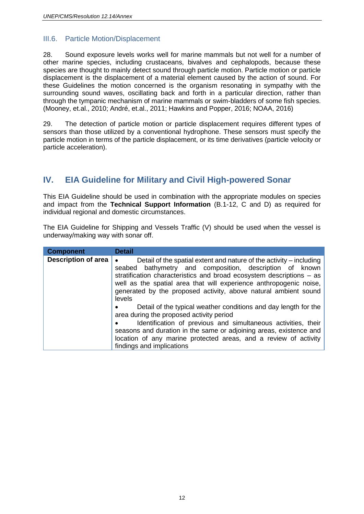#### <span id="page-11-0"></span>III.6. Particle Motion/Displacement

28. Sound exposure levels works well for marine mammals but not well for a number of other marine species, including crustaceans, bivalves and cephalopods, because these species are thought to mainly detect sound through particle motion. Particle motion or particle displacement is the displacement of a material element caused by the action of sound. For these Guidelines the motion concerned is the organism resonating in sympathy with the surrounding sound waves, oscillating back and forth in a particular direction, rather than through the tympanic mechanism of marine mammals or swim-bladders of some fish species. (Mooney, et.al., 2010; André, et.al., 2011; Hawkins and Popper, 2016; NOAA, 2016)

29. The detection of particle motion or particle displacement requires different types of sensors than those utilized by a conventional hydrophone. These sensors must specify the particle motion in terms of the particle displacement, or its time derivatives (particle velocity or particle acceleration).

### <span id="page-11-1"></span>**IV. EIA Guideline for Military and Civil High-powered Sonar**

This EIA Guideline should be used in combination with the appropriate modules on species and impact from the **Technical Support Information** (B.1-12, C and D) as required for individual regional and domestic circumstances.

The EIA Guideline for Shipping and Vessels Traffic (V) should be used when the vessel is underway/making way with sonar off.

| <b>Component</b>           | <b>Detail</b>                                                                                                                                                                                                                                                                                                                                                          |
|----------------------------|------------------------------------------------------------------------------------------------------------------------------------------------------------------------------------------------------------------------------------------------------------------------------------------------------------------------------------------------------------------------|
| <b>Description of area</b> | Detail of the spatial extent and nature of the activity – including<br>$\bullet$<br>seabed bathymetry and composition, description of known<br>stratification characteristics and broad ecosystem descriptions – as<br>well as the spatial area that will experience anthropogenic noise,<br>generated by the proposed activity, above natural ambient sound<br>levels |
|                            | Detail of the typical weather conditions and day length for the<br>area during the proposed activity period                                                                                                                                                                                                                                                            |
|                            | Identification of previous and simultaneous activities, their<br>seasons and duration in the same or adjoining areas, existence and<br>location of any marine protected areas, and a review of activity<br>findings and implications                                                                                                                                   |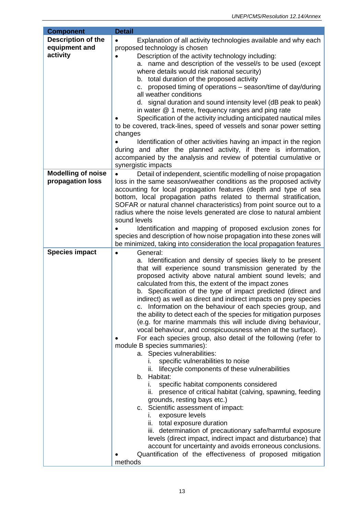| <b>Component</b>                                       | <b>Detail</b>                                                                                                                                                                                                                                                                                                                                                                                                                                                                                                                                                                                                                                                                                                                                                                                                                                                                                                                                                                                                                                                                                                                                                                                                                                                                                                                                                                                                    |
|--------------------------------------------------------|------------------------------------------------------------------------------------------------------------------------------------------------------------------------------------------------------------------------------------------------------------------------------------------------------------------------------------------------------------------------------------------------------------------------------------------------------------------------------------------------------------------------------------------------------------------------------------------------------------------------------------------------------------------------------------------------------------------------------------------------------------------------------------------------------------------------------------------------------------------------------------------------------------------------------------------------------------------------------------------------------------------------------------------------------------------------------------------------------------------------------------------------------------------------------------------------------------------------------------------------------------------------------------------------------------------------------------------------------------------------------------------------------------------|
| <b>Description of the</b><br>equipment and<br>activity | Explanation of all activity technologies available and why each<br>$\bullet$<br>proposed technology is chosen<br>Description of the activity technology including:<br>a. name and description of the vessel/s to be used (except<br>where details would risk national security)<br>b. total duration of the proposed activity<br>proposed timing of operations – season/time of day/during<br>C.<br>all weather conditions<br>d. signal duration and sound intensity level (dB peak to peak)<br>in water @ 1 metre, frequency ranges and ping rate<br>Specification of the activity including anticipated nautical miles<br>to be covered, track-lines, speed of vessels and sonar power setting<br>changes<br>Identification of other activities having an impact in the region<br>during and after the planned activity, if there is information,                                                                                                                                                                                                                                                                                                                                                                                                                                                                                                                                                              |
|                                                        | accompanied by the analysis and review of potential cumulative or                                                                                                                                                                                                                                                                                                                                                                                                                                                                                                                                                                                                                                                                                                                                                                                                                                                                                                                                                                                                                                                                                                                                                                                                                                                                                                                                                |
| <b>Modelling of noise</b><br>propagation loss          | synergistic impacts<br>Detail of independent, scientific modelling of noise propagation<br>loss in the same season/weather conditions as the proposed activity<br>accounting for local propagation features (depth and type of sea<br>bottom, local propagation paths related to thermal stratification,<br>SOFAR or natural channel characteristics) from point source out to a<br>radius where the noise levels generated are close to natural ambient<br>sound levels<br>Identification and mapping of proposed exclusion zones for<br>species and description of how noise propagation into these zones will<br>be minimized, taking into consideration the local propagation features                                                                                                                                                                                                                                                                                                                                                                                                                                                                                                                                                                                                                                                                                                                       |
| <b>Species impact</b>                                  | General:<br>$\bullet$                                                                                                                                                                                                                                                                                                                                                                                                                                                                                                                                                                                                                                                                                                                                                                                                                                                                                                                                                                                                                                                                                                                                                                                                                                                                                                                                                                                            |
|                                                        | a. Identification and density of species likely to be present<br>that will experience sound transmission generated by the<br>proposed activity above natural ambient sound levels; and<br>calculated from this, the extent of the impact zones<br>b. Specification of the type of impact predicted (direct and<br>indirect) as well as direct and indirect impacts on prey species<br>c. Information on the behaviour of each species group, and<br>the ability to detect each of the species for mitigation purposes<br>(e.g. for marine mammals this will include diving behaviour,<br>vocal behaviour, and conspicuousness when at the surface).<br>For each species group, also detail of the following (refer to<br>module B species summaries):<br>a. Species vulnerabilities:<br>specific vulnerabilities to noise<br>lifecycle components of these vulnerabilities<br>b. Habitat:<br>specific habitat components considered<br>Ι.<br>presence of critical habitat (calving, spawning, feeding<br>ii.<br>grounds, resting bays etc.)<br>c. Scientific assessment of impact:<br>exposure levels<br>i.<br>total exposure duration<br>ii.<br>iii. determination of precautionary safe/harmful exposure<br>levels (direct impact, indirect impact and disturbance) that<br>account for uncertainty and avoids erroneous conclusions.<br>Quantification of the effectiveness of proposed mitigation<br>methods |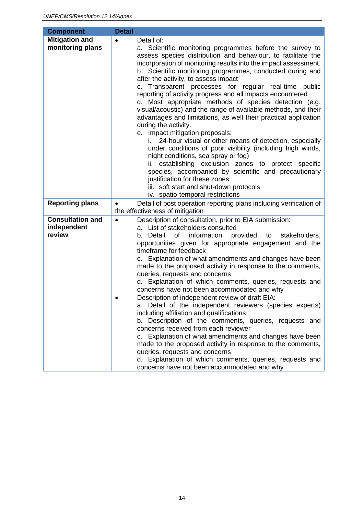<span id="page-13-0"></span>

| <b>Component</b>                                                    | <b>Detail</b>                                                                                                                                                                                                                                                                                                                                                                                                                                                                                                                                                                                                                                                                                                                                                                                                                                                                                                                                                                                                                                                                                  |
|---------------------------------------------------------------------|------------------------------------------------------------------------------------------------------------------------------------------------------------------------------------------------------------------------------------------------------------------------------------------------------------------------------------------------------------------------------------------------------------------------------------------------------------------------------------------------------------------------------------------------------------------------------------------------------------------------------------------------------------------------------------------------------------------------------------------------------------------------------------------------------------------------------------------------------------------------------------------------------------------------------------------------------------------------------------------------------------------------------------------------------------------------------------------------|
| <b>Mitigation and</b><br>monitoring plans<br><b>Reporting plans</b> | Detail of:<br>a. Scientific monitoring programmes before the survey to<br>assess species distribution and behaviour, to facilitate the<br>incorporation of monitoring results into the impact assessment.<br>b. Scientific monitoring programmes, conducted during and<br>after the activity, to assess impact<br>c. Transparent processes for regular real-time public<br>reporting of activity progress and all impacts encountered<br>d. Most appropriate methods of species detection (e.g.<br>visual/acoustic) and the range of available methods, and their<br>advantages and limitations, as well their practical application<br>during the activity.<br>e. Impact mitigation proposals:<br>24-hour visual or other means of detection, especially<br>under conditions of poor visibility (including high winds,<br>night conditions, sea spray or fog)<br>ii. establishing exclusion zones to protect specific<br>species, accompanied by scientific and precautionary<br>justification for these zones<br>iii. soft start and shut-down protocols<br>iv. spatio-temporal restrictions |
|                                                                     | Detail of post operation reporting plans including verification of<br>$\bullet$<br>the effectiveness of mitigation                                                                                                                                                                                                                                                                                                                                                                                                                                                                                                                                                                                                                                                                                                                                                                                                                                                                                                                                                                             |
| <b>Consultation and</b><br>independent<br>review                    | Description of consultation, prior to EIA submission:<br>$\bullet$<br>a. List of stakeholders consulted<br>b. Detail<br>of<br>information provided<br>stakeholders,<br>to<br>opportunities given for appropriate engagement and the<br>timeframe for feedback<br>c. Explanation of what amendments and changes have been<br>made to the proposed activity in response to the comments,<br>queries, requests and concerns<br>d. Explanation of which comments, queries, requests and<br>concerns have not been accommodated and why<br>Description of independent review of draft EIA:<br>a. Detail of the independent reviewers (species experts)<br>including affiliation and qualifications<br>b. Description of the comments, queries, requests and<br>concerns received from each reviewer<br>c. Explanation of what amendments and changes have been<br>made to the proposed activity in response to the comments,<br>queries, requests and concerns<br>d. Explanation of which comments, queries, requests and<br>concerns have not been accommodated and why                            |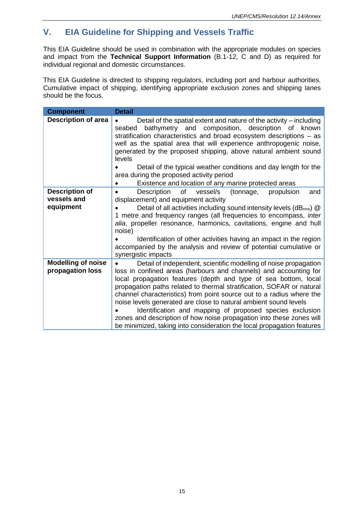# **V. EIA Guideline for Shipping and Vessels Traffic**

This EIA Guideline should be used in combination with the appropriate modules on species and impact from the **Technical Support Information** (B.1-12, C and D) as required for individual regional and domestic circumstances.

This EIA Guideline is directed to shipping regulators, including port and harbour authorities. Cumulative impact of shipping, identifying appropriate exclusion zones and shipping lanes should be the focus.

| <b>Component</b>                                  | <b>Detail</b>                                                                                                                                                                                                                                                                                                                                                                                                                                                                                                                                                                                                                               |
|---------------------------------------------------|---------------------------------------------------------------------------------------------------------------------------------------------------------------------------------------------------------------------------------------------------------------------------------------------------------------------------------------------------------------------------------------------------------------------------------------------------------------------------------------------------------------------------------------------------------------------------------------------------------------------------------------------|
| <b>Description of area</b>                        | Detail of the spatial extent and nature of the activity – including<br>$\bullet$<br>bathymetry and composition, description of<br>seabed<br>known<br>stratification characteristics and broad ecosystem descriptions - as<br>well as the spatial area that will experience anthropogenic noise,<br>generated by the proposed shipping, above natural ambient sound<br>levels                                                                                                                                                                                                                                                                |
|                                                   | Detail of the typical weather conditions and day length for the<br>area during the proposed activity period<br>Existence and location of any marine protected areas                                                                                                                                                                                                                                                                                                                                                                                                                                                                         |
| <b>Description of</b><br>vessels and<br>equipment | of<br>Description<br>vessel/s<br>propulsion<br>(tonnage,<br>and<br>$\bullet$<br>displacement) and equipment activity<br>Detail of all activities including sound intensity levels (dBrms) @<br>1 metre and frequency ranges (all frequencies to encompass, inter<br>alia, propeller resonance, harmonics, cavitations, engine and hull<br>noise)<br>Identification of other activities having an impact in the region<br>accompanied by the analysis and review of potential cumulative or<br>synergistic impacts                                                                                                                           |
| <b>Modelling of noise</b><br>propagation loss     | Detail of independent, scientific modelling of noise propagation<br>loss in confined areas (harbours and channels) and accounting for<br>local propagation features (depth and type of sea bottom, local<br>propagation paths related to thermal stratification, SOFAR or natural<br>channel characteristics) from point source out to a radius where the<br>noise levels generated are close to natural ambient sound levels<br>Identification and mapping of proposed species exclusion<br>zones and description of how noise propagation into these zones will<br>be minimized, taking into consideration the local propagation features |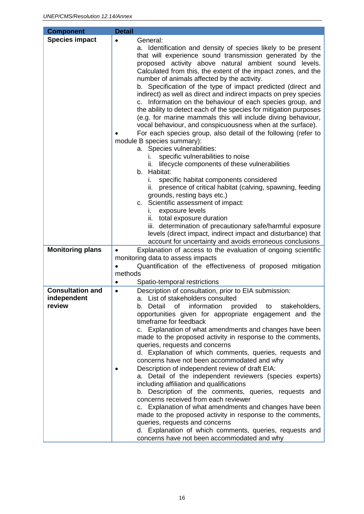<span id="page-15-0"></span>

| <b>Component</b>        | <b>Detail</b>                                                                                                                                                                                                                                                                                                                                                                                                                                                                                                                                                                                                                                                                                                                                                                                                                                                                                                                                                                                                                                                                                                                                                                                                                                                                                                                                                                               |
|-------------------------|---------------------------------------------------------------------------------------------------------------------------------------------------------------------------------------------------------------------------------------------------------------------------------------------------------------------------------------------------------------------------------------------------------------------------------------------------------------------------------------------------------------------------------------------------------------------------------------------------------------------------------------------------------------------------------------------------------------------------------------------------------------------------------------------------------------------------------------------------------------------------------------------------------------------------------------------------------------------------------------------------------------------------------------------------------------------------------------------------------------------------------------------------------------------------------------------------------------------------------------------------------------------------------------------------------------------------------------------------------------------------------------------|
| <b>Species impact</b>   | General:<br>$\bullet$                                                                                                                                                                                                                                                                                                                                                                                                                                                                                                                                                                                                                                                                                                                                                                                                                                                                                                                                                                                                                                                                                                                                                                                                                                                                                                                                                                       |
|                         | a. Identification and density of species likely to be present<br>that will experience sound transmission generated by the<br>proposed activity above natural ambient sound levels.<br>Calculated from this, the extent of the impact zones, and the<br>number of animals affected by the activity.<br>b. Specification of the type of impact predicted (direct and<br>indirect) as well as direct and indirect impacts on prey species<br>c. Information on the behaviour of each species group, and<br>the ability to detect each of the species for mitigation purposes<br>(e.g. for marine mammals this will include diving behaviour,<br>vocal behaviour, and conspicuousness when at the surface).<br>For each species group, also detail of the following (refer to<br>module B species summary):<br>a. Species vulnerabilities:<br>specific vulnerabilities to noise<br>L.<br>lifecycle components of these vulnerabilities<br>ii.<br>b. Habitat:<br>specific habitat components considered<br>i.<br>presence of critical habitat (calving, spawning, feeding<br>grounds, resting bays etc.)<br>c. Scientific assessment of impact:<br>exposure levels<br>ı.<br>ii. total exposure duration<br>iii. determination of precautionary safe/harmful exposure<br>levels (direct impact, indirect impact and disturbance) that<br>account for uncertainty and avoids erroneous conclusions |
| <b>Monitoring plans</b> | Explanation of access to the evaluation of ongoing scientific<br>$\bullet$                                                                                                                                                                                                                                                                                                                                                                                                                                                                                                                                                                                                                                                                                                                                                                                                                                                                                                                                                                                                                                                                                                                                                                                                                                                                                                                  |
|                         | monitoring data to assess impacts                                                                                                                                                                                                                                                                                                                                                                                                                                                                                                                                                                                                                                                                                                                                                                                                                                                                                                                                                                                                                                                                                                                                                                                                                                                                                                                                                           |
|                         | Quantification of the effectiveness of proposed mitigation                                                                                                                                                                                                                                                                                                                                                                                                                                                                                                                                                                                                                                                                                                                                                                                                                                                                                                                                                                                                                                                                                                                                                                                                                                                                                                                                  |
|                         | methods                                                                                                                                                                                                                                                                                                                                                                                                                                                                                                                                                                                                                                                                                                                                                                                                                                                                                                                                                                                                                                                                                                                                                                                                                                                                                                                                                                                     |
|                         | Spatio-temporal restrictions<br>٠                                                                                                                                                                                                                                                                                                                                                                                                                                                                                                                                                                                                                                                                                                                                                                                                                                                                                                                                                                                                                                                                                                                                                                                                                                                                                                                                                           |
| <b>Consultation and</b> | Description of consultation, prior to EIA submission:<br>$\bullet$                                                                                                                                                                                                                                                                                                                                                                                                                                                                                                                                                                                                                                                                                                                                                                                                                                                                                                                                                                                                                                                                                                                                                                                                                                                                                                                          |
| independent<br>review   | a. List of stakeholders consulted<br>of information provided to<br>b. Detail<br>stakeholders,<br>opportunities given for appropriate engagement and the<br>timeframe for feedback<br>c. Explanation of what amendments and changes have been<br>made to the proposed activity in response to the comments,<br>queries, requests and concerns<br>d. Explanation of which comments, queries, requests and<br>concerns have not been accommodated and why<br>Description of independent review of draft EIA:<br>a. Detail of the independent reviewers (species experts)<br>including affiliation and qualifications<br>b. Description of the comments, queries, requests and<br>concerns received from each reviewer<br>c. Explanation of what amendments and changes have been<br>made to the proposed activity in response to the comments,<br>queries, requests and concerns<br>d. Explanation of which comments, queries, requests and<br>concerns have not been accommodated and why                                                                                                                                                                                                                                                                                                                                                                                                     |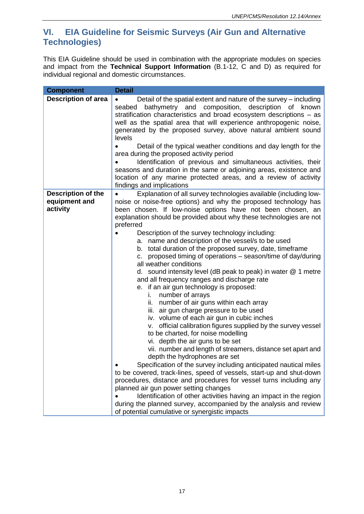### **VI. EIA Guideline for Seismic Surveys (Air Gun and Alternative Technologies)**

This EIA Guideline should be used in combination with the appropriate modules on species and impact from the **Technical Support Information** (B.1-12, C and D) as required for individual regional and domestic circumstances.

| <b>Component</b>                                       | <b>Detail</b>                                                                                                                                                                                                                                                                                                                                                                                                                                                                                                                                                                                                                                                                                                                                                                                                                                                                                                                                                                                                                                                                                                                                                                                                                                                                                                                                                                                                                                                                                                                                                                               |
|--------------------------------------------------------|---------------------------------------------------------------------------------------------------------------------------------------------------------------------------------------------------------------------------------------------------------------------------------------------------------------------------------------------------------------------------------------------------------------------------------------------------------------------------------------------------------------------------------------------------------------------------------------------------------------------------------------------------------------------------------------------------------------------------------------------------------------------------------------------------------------------------------------------------------------------------------------------------------------------------------------------------------------------------------------------------------------------------------------------------------------------------------------------------------------------------------------------------------------------------------------------------------------------------------------------------------------------------------------------------------------------------------------------------------------------------------------------------------------------------------------------------------------------------------------------------------------------------------------------------------------------------------------------|
| <b>Description of area</b>                             | Detail of the spatial extent and nature of the survey – including<br>bathymetry and composition, description of known<br>seabed<br>stratification characteristics and broad ecosystem descriptions - as<br>well as the spatial area that will experience anthropogenic noise,<br>generated by the proposed survey, above natural ambient sound<br>levels<br>Detail of the typical weather conditions and day length for the<br>area during the proposed activity period<br>Identification of previous and simultaneous activities, their<br>seasons and duration in the same or adjoining areas, existence and<br>location of any marine protected areas, and a review of activity<br>findings and implications                                                                                                                                                                                                                                                                                                                                                                                                                                                                                                                                                                                                                                                                                                                                                                                                                                                                             |
| <b>Description of the</b><br>equipment and<br>activity | Explanation of all survey technologies available (including low-<br>noise or noise-free options) and why the proposed technology has<br>been chosen. If low-noise options have not been chosen, an<br>explanation should be provided about why these technologies are not<br>preferred<br>Description of the survey technology including:<br>a. name and description of the vessel/s to be used<br>b. total duration of the proposed survey, date, timeframe<br>proposed timing of operations – season/time of day/during<br>C.<br>all weather conditions<br>d. sound intensity level (dB peak to peak) in water $@$ 1 metre<br>and all frequency ranges and discharge rate<br>e. if an air gun technology is proposed:<br>number of arrays<br>i.<br>ii. number of air guns within each array<br>iii. air gun charge pressure to be used<br>iv. volume of each air gun in cubic inches<br>official calibration figures supplied by the survey vessel<br>V.<br>to be charted, for noise modelling<br>vi. depth the air guns to be set<br>vii. number and length of streamers, distance set apart and<br>depth the hydrophones are set<br>Specification of the survey including anticipated nautical miles<br>to be covered, track-lines, speed of vessels, start-up and shut-down<br>procedures, distance and procedures for vessel turns including any<br>planned air gun power setting changes<br>Identification of other activities having an impact in the region<br>during the planned survey, accompanied by the analysis and review<br>of potential cumulative or synergistic impacts |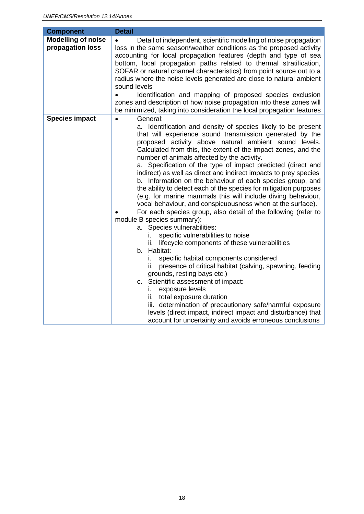| <b>Component</b>                              | <b>Detail</b>                                                                                                                                                                                                                                                                                                                                                                                                                                                                                                                                                                                                                                                                                                                                                                                                                                                                                                                                                                                                                                                                                                                                                                                                                                                                                                                                                                                                                  |
|-----------------------------------------------|--------------------------------------------------------------------------------------------------------------------------------------------------------------------------------------------------------------------------------------------------------------------------------------------------------------------------------------------------------------------------------------------------------------------------------------------------------------------------------------------------------------------------------------------------------------------------------------------------------------------------------------------------------------------------------------------------------------------------------------------------------------------------------------------------------------------------------------------------------------------------------------------------------------------------------------------------------------------------------------------------------------------------------------------------------------------------------------------------------------------------------------------------------------------------------------------------------------------------------------------------------------------------------------------------------------------------------------------------------------------------------------------------------------------------------|
| <b>Modelling of noise</b><br>propagation loss | Detail of independent, scientific modelling of noise propagation<br>loss in the same season/weather conditions as the proposed activity<br>accounting for local propagation features (depth and type of sea<br>bottom, local propagation paths related to thermal stratification,<br>SOFAR or natural channel characteristics) from point source out to a<br>radius where the noise levels generated are close to natural ambient<br>sound levels<br>Identification and mapping of proposed species exclusion<br>zones and description of how noise propagation into these zones will<br>be minimized, taking into consideration the local propagation features                                                                                                                                                                                                                                                                                                                                                                                                                                                                                                                                                                                                                                                                                                                                                                |
| <b>Species impact</b>                         | General:<br>$\bullet$<br>a. Identification and density of species likely to be present<br>that will experience sound transmission generated by the<br>proposed activity above natural ambient sound levels.<br>Calculated from this, the extent of the impact zones, and the<br>number of animals affected by the activity.<br>a. Specification of the type of impact predicted (direct and<br>indirect) as well as direct and indirect impacts to prey species<br>b. Information on the behaviour of each species group, and<br>the ability to detect each of the species for mitigation purposes<br>(e.g. for marine mammals this will include diving behaviour,<br>vocal behaviour, and conspicuousness when at the surface).<br>For each species group, also detail of the following (refer to<br>module B species summary):<br>a. Species vulnerabilities:<br>specific vulnerabilities to noise<br>İ.<br>lifecycle components of these vulnerabilities<br>ii.<br>b. Habitat:<br>specific habitat components considered<br>L.<br>presence of critical habitat (calving, spawning, feeding<br>ii.<br>grounds, resting bays etc.)<br>c. Scientific assessment of impact:<br>exposure levels<br>ı.<br>total exposure duration<br>ii.<br>iii. determination of precautionary safe/harmful exposure<br>levels (direct impact, indirect impact and disturbance) that<br>account for uncertainty and avoids erroneous conclusions |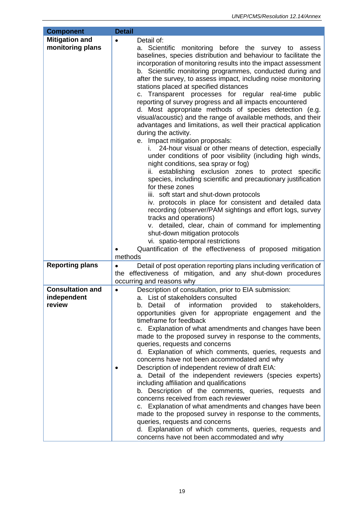| <b>Component</b>                                 | <b>Detail</b>                                                                                                                                                                                                                                                                                                                                                                                                                                                                                                                                                                                                                                                                                                                                                                                                                                                                                                                                                                                                                                                                                                                                                                                                                                                                                                                                                                                                                                                                                   |
|--------------------------------------------------|-------------------------------------------------------------------------------------------------------------------------------------------------------------------------------------------------------------------------------------------------------------------------------------------------------------------------------------------------------------------------------------------------------------------------------------------------------------------------------------------------------------------------------------------------------------------------------------------------------------------------------------------------------------------------------------------------------------------------------------------------------------------------------------------------------------------------------------------------------------------------------------------------------------------------------------------------------------------------------------------------------------------------------------------------------------------------------------------------------------------------------------------------------------------------------------------------------------------------------------------------------------------------------------------------------------------------------------------------------------------------------------------------------------------------------------------------------------------------------------------------|
| <b>Mitigation and</b><br>monitoring plans        | Detail of:<br>$\bullet$<br>a. Scientific<br>monitoring before the survey to assess<br>baselines, species distribution and behaviour to facilitate the<br>incorporation of monitoring results into the impact assessment<br>b. Scientific monitoring programmes, conducted during and<br>after the survey, to assess impact, including noise monitoring<br>stations placed at specified distances<br>c. Transparent processes for regular real-time public<br>reporting of survey progress and all impacts encountered<br>d. Most appropriate methods of species detection (e.g.<br>visual/acoustic) and the range of available methods, and their<br>advantages and limitations, as well their practical application<br>during the activity.<br>e. Impact mitigation proposals:<br>24-hour visual or other means of detection, especially<br>under conditions of poor visibility (including high winds,<br>night conditions, sea spray or fog)<br>ii. establishing exclusion zones to protect specific<br>species, including scientific and precautionary justification<br>for these zones<br>iii. soft start and shut-down protocols<br>iv. protocols in place for consistent and detailed data<br>recording (observer/PAM sightings and effort logs, survey<br>tracks and operations)<br>v. detailed, clear, chain of command for implementing<br>shut-down mitigation protocols<br>vi. spatio-temporal restrictions<br>Quantification of the effectiveness of proposed mitigation<br>methods |
| <b>Reporting plans</b>                           | Detail of post operation reporting plans including verification of<br>$\bullet$<br>the effectiveness of mitigation, and any shut-down procedures<br>occurring and reasons why                                                                                                                                                                                                                                                                                                                                                                                                                                                                                                                                                                                                                                                                                                                                                                                                                                                                                                                                                                                                                                                                                                                                                                                                                                                                                                                   |
| <b>Consultation and</b><br>independent<br>review | Description of consultation, prior to EIA submission:<br>$\bullet$<br>a. List of stakeholders consulted<br>information<br>b. Detail<br>οf<br>provided to<br>stakeholders,<br>opportunities given for appropriate engagement and the<br>timeframe for feedback<br>c. Explanation of what amendments and changes have been<br>made to the proposed survey in response to the comments,<br>queries, requests and concerns<br>d. Explanation of which comments, queries, requests and<br>concerns have not been accommodated and why<br>Description of independent review of draft EIA:<br>a. Detail of the independent reviewers (species experts)<br>including affiliation and qualifications<br>b. Description of the comments, queries, requests and<br>concerns received from each reviewer<br>c. Explanation of what amendments and changes have been<br>made to the proposed survey in response to the comments,<br>queries, requests and concerns<br>d. Explanation of which comments, queries, requests and<br>concerns have not been accommodated and why                                                                                                                                                                                                                                                                                                                                                                                                                                 |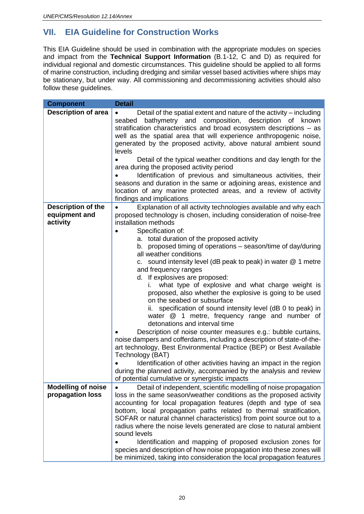# <span id="page-19-0"></span>**VII. EIA Guideline for Construction Works**

This EIA Guideline should be used in combination with the appropriate modules on species and impact from the **Technical Support Information** (B.1-12, C and D) as required for individual regional and domestic circumstances. This guideline should be applied to all forms of marine construction, including dredging and similar vessel based activities where ships may be stationary, but under way. All commissioning and decommissioning activities should also follow these guidelines.

| <b>Component</b>                                       | <b>Detail</b>                                                                                                                                                                                                                                                                                                                                                                |
|--------------------------------------------------------|------------------------------------------------------------------------------------------------------------------------------------------------------------------------------------------------------------------------------------------------------------------------------------------------------------------------------------------------------------------------------|
| <b>Description of area</b>                             | Detail of the spatial extent and nature of the activity – including<br>$\bullet$<br>bathymetry and composition, description of<br>seabed<br>known<br>stratification characteristics and broad ecosystem descriptions - as<br>well as the spatial area that will experience anthropogenic noise,<br>generated by the proposed activity, above natural ambient sound<br>levels |
|                                                        | Detail of the typical weather conditions and day length for the<br>area during the proposed activity period                                                                                                                                                                                                                                                                  |
|                                                        | Identification of previous and simultaneous activities, their<br>seasons and duration in the same or adjoining areas, existence and<br>location of any marine protected areas, and a review of activity<br>findings and implications                                                                                                                                         |
| <b>Description of the</b><br>equipment and<br>activity | Explanation of all activity technologies available and why each<br>proposed technology is chosen, including consideration of noise-free<br>installation methods<br>Specification of:                                                                                                                                                                                         |
|                                                        | a. total duration of the proposed activity                                                                                                                                                                                                                                                                                                                                   |
|                                                        | b. proposed timing of operations – season/time of day/during                                                                                                                                                                                                                                                                                                                 |
|                                                        | all weather conditions                                                                                                                                                                                                                                                                                                                                                       |
|                                                        | c. sound intensity level (dB peak to peak) in water $@$ 1 metre                                                                                                                                                                                                                                                                                                              |
|                                                        | and frequency ranges                                                                                                                                                                                                                                                                                                                                                         |
|                                                        | d. If explosives are proposed:                                                                                                                                                                                                                                                                                                                                               |
|                                                        | what type of explosive and what charge weight is<br>L.                                                                                                                                                                                                                                                                                                                       |
|                                                        | proposed, also whether the explosive is going to be used                                                                                                                                                                                                                                                                                                                     |
|                                                        | on the seabed or subsurface                                                                                                                                                                                                                                                                                                                                                  |
|                                                        | specification of sound intensity level (dB 0 to peak) in<br>ii.                                                                                                                                                                                                                                                                                                              |
|                                                        | water @ 1 metre, frequency range and number of<br>detonations and interval time                                                                                                                                                                                                                                                                                              |
|                                                        | Description of noise counter measures e.g.: bubble curtains,                                                                                                                                                                                                                                                                                                                 |
|                                                        | noise dampers and cofferdams, including a description of state-of-the-<br>art technology, Best Environmental Practice (BEP) or Best Available<br>Technology (BAT)                                                                                                                                                                                                            |
|                                                        | Identification of other activities having an impact in the region                                                                                                                                                                                                                                                                                                            |
|                                                        | during the planned activity, accompanied by the analysis and review                                                                                                                                                                                                                                                                                                          |
|                                                        | of potential cumulative or synergistic impacts                                                                                                                                                                                                                                                                                                                               |
| <b>Modelling of noise</b>                              | Detail of independent, scientific modelling of noise propagation                                                                                                                                                                                                                                                                                                             |
| propagation loss                                       | loss in the same season/weather conditions as the proposed activity                                                                                                                                                                                                                                                                                                          |
|                                                        | accounting for local propagation features (depth and type of sea                                                                                                                                                                                                                                                                                                             |
|                                                        | bottom, local propagation paths related to thermal stratification,<br>SOFAR or natural channel characteristics) from point source out to a                                                                                                                                                                                                                                   |
|                                                        | radius where the noise levels generated are close to natural ambient                                                                                                                                                                                                                                                                                                         |
|                                                        | sound levels                                                                                                                                                                                                                                                                                                                                                                 |
|                                                        | Identification and mapping of proposed exclusion zones for                                                                                                                                                                                                                                                                                                                   |
|                                                        | species and description of how noise propagation into these zones will                                                                                                                                                                                                                                                                                                       |
|                                                        | be minimized, taking into consideration the local propagation features                                                                                                                                                                                                                                                                                                       |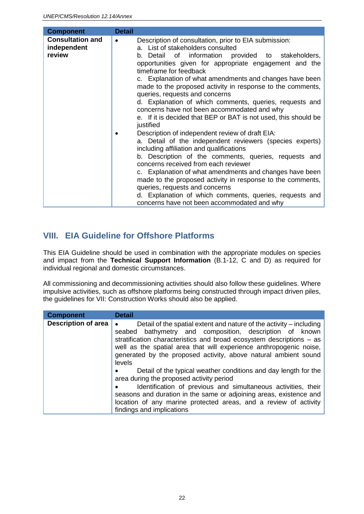| <b>Component</b>                                 | <b>Detail</b>                                                                                                                                                                                                                                                                                                                                                                                                                                                                                                                                                                                |
|--------------------------------------------------|----------------------------------------------------------------------------------------------------------------------------------------------------------------------------------------------------------------------------------------------------------------------------------------------------------------------------------------------------------------------------------------------------------------------------------------------------------------------------------------------------------------------------------------------------------------------------------------------|
| <b>Consultation and</b><br>independent<br>review | Description of consultation, prior to EIA submission:<br>a. List of stakeholders consulted<br>information provided to stakeholders,<br>b. Detail of<br>opportunities given for appropriate engagement and the<br>timeframe for feedback<br>c. Explanation of what amendments and changes have been<br>made to the proposed activity in response to the comments,<br>queries, requests and concerns<br>d. Explanation of which comments, queries, requests and<br>concerns have not been accommodated and why<br>e. If it is decided that BEP or BAT is not used, this should be<br>justified |
|                                                  | Description of independent review of draft EIA:<br>a. Detail of the independent reviewers (species experts)<br>including affiliation and qualifications<br>b. Description of the comments, queries, requests and<br>concerns received from each reviewer<br>c. Explanation of what amendments and changes have been<br>made to the proposed activity in response to the comments,<br>queries, requests and concerns<br>d. Explanation of which comments, queries, requests and<br>concerns have not been accommodated and why                                                                |

### <span id="page-21-0"></span>**VIII. EIA Guideline for Offshore Platforms**

This EIA Guideline should be used in combination with the appropriate modules on species and impact from the **Technical Support Information** (B.1-12, C and D) as required for individual regional and domestic circumstances.

All commissioning and decommissioning activities should also follow these guidelines. Where impulsive activities, such as offshore platforms being constructed through impact driven piles, the guidelines for VII: Construction Works should also be applied.

| <b>Component</b>           | <b>Detail</b>                                                                                                                                                                                                                                                                                                                                             |
|----------------------------|-----------------------------------------------------------------------------------------------------------------------------------------------------------------------------------------------------------------------------------------------------------------------------------------------------------------------------------------------------------|
| <b>Description of area</b> | Detail of the spatial extent and nature of the activity – including<br>seabed bathymetry and composition, description of known<br>stratification characteristics and broad ecosystem descriptions – as<br>well as the spatial area that will experience anthropogenic noise,<br>generated by the proposed activity, above natural ambient sound<br>levels |
|                            | Detail of the typical weather conditions and day length for the<br>area during the proposed activity period<br>Identification of previous and simultaneous activities, their<br>seasons and duration in the same or adjoining areas, existence and<br>location of any marine protected areas, and a review of activity<br>findings and implications       |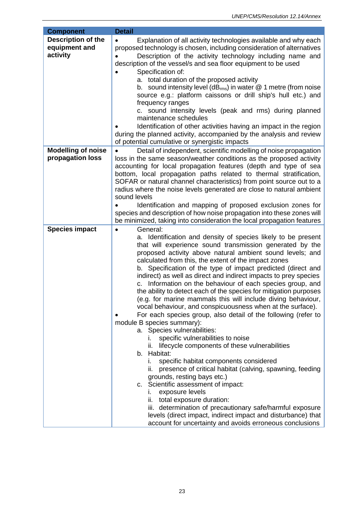| <b>Component</b>                                       | <b>Detail</b>                                                                                                                                                                                                                                                                                                                                                                                                                                                                                                                                                                                                                                                                                                                                                                                                                                                                                                                                                                                                                                                                                                                                                                                                                                                                                                                                                           |
|--------------------------------------------------------|-------------------------------------------------------------------------------------------------------------------------------------------------------------------------------------------------------------------------------------------------------------------------------------------------------------------------------------------------------------------------------------------------------------------------------------------------------------------------------------------------------------------------------------------------------------------------------------------------------------------------------------------------------------------------------------------------------------------------------------------------------------------------------------------------------------------------------------------------------------------------------------------------------------------------------------------------------------------------------------------------------------------------------------------------------------------------------------------------------------------------------------------------------------------------------------------------------------------------------------------------------------------------------------------------------------------------------------------------------------------------|
| <b>Description of the</b><br>equipment and<br>activity | Explanation of all activity technologies available and why each<br>$\bullet$<br>proposed technology is chosen, including consideration of alternatives<br>Description of the activity technology including name and<br>description of the vessel/s and sea floor equipment to be used<br>Specification of:<br>a. total duration of the proposed activity<br>b. sound intensity level ( $dB_{rms}$ ) in water $@$ 1 metre (from noise<br>source e.g.: platform caissons or drill ship's hull etc.) and<br>frequency ranges<br>c. sound intensity levels (peak and rms) during planned<br>maintenance schedules<br>Identification of other activities having an impact in the region<br>during the planned activity, accompanied by the analysis and review<br>of potential cumulative or synergistic impacts                                                                                                                                                                                                                                                                                                                                                                                                                                                                                                                                                             |
| <b>Modelling of noise</b><br>propagation loss          | Detail of independent, scientific modelling of noise propagation<br>loss in the same season/weather conditions as the proposed activity                                                                                                                                                                                                                                                                                                                                                                                                                                                                                                                                                                                                                                                                                                                                                                                                                                                                                                                                                                                                                                                                                                                                                                                                                                 |
|                                                        | accounting for local propagation features (depth and type of sea<br>bottom, local propagation paths related to thermal stratification,<br>SOFAR or natural channel characteristics) from point source out to a<br>radius where the noise levels generated are close to natural ambient<br>sound levels<br>Identification and mapping of proposed exclusion zones for<br>species and description of how noise propagation into these zones will<br>be minimized, taking into consideration the local propagation features                                                                                                                                                                                                                                                                                                                                                                                                                                                                                                                                                                                                                                                                                                                                                                                                                                                |
| <b>Species impact</b>                                  | General:<br>$\bullet$<br>a. Identification and density of species likely to be present<br>that will experience sound transmission generated by the<br>proposed activity above natural ambient sound levels; and<br>calculated from this, the extent of the impact zones<br>b. Specification of the type of impact predicted (direct and<br>indirect) as well as direct and indirect impacts to prey species<br>Information on the behaviour of each species group, and<br>C.<br>the ability to detect each of the species for mitigation purposes<br>(e.g. for marine mammals this will include diving behaviour,<br>vocal behaviour, and conspicuousness when at the surface).<br>For each species group, also detail of the following (refer to<br>module B species summary):<br>a. Species vulnerabilities:<br>specific vulnerabilities to noise<br>L.<br>lifecycle components of these vulnerabilities<br>н.<br>b. Habitat:<br>specific habitat components considered<br>Ĺ.<br>ii. presence of critical habitat (calving, spawning, feeding<br>grounds, resting bays etc.)<br>c. Scientific assessment of impact:<br>exposure levels<br>L.<br>ii. total exposure duration:<br>iii. determination of precautionary safe/harmful exposure<br>levels (direct impact, indirect impact and disturbance) that<br>account for uncertainty and avoids erroneous conclusions |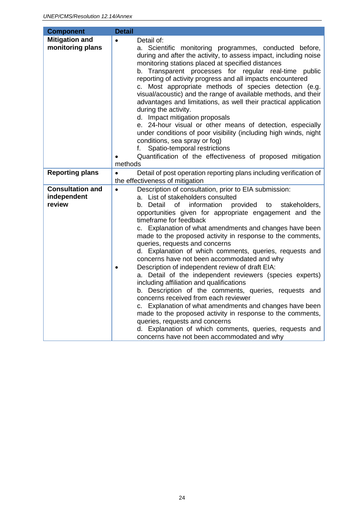<span id="page-23-0"></span>

| <b>Component</b>                                 | <b>Detail</b>                                                                                                                                                                                                                                                                                                                                                                                                                                                                                                                                                                                                                                                                                                                                                                                                                                                                                                                                                                                                                                                                       |
|--------------------------------------------------|-------------------------------------------------------------------------------------------------------------------------------------------------------------------------------------------------------------------------------------------------------------------------------------------------------------------------------------------------------------------------------------------------------------------------------------------------------------------------------------------------------------------------------------------------------------------------------------------------------------------------------------------------------------------------------------------------------------------------------------------------------------------------------------------------------------------------------------------------------------------------------------------------------------------------------------------------------------------------------------------------------------------------------------------------------------------------------------|
| <b>Mitigation and</b><br>monitoring plans        | Detail of:<br>$\bullet$<br>a. Scientific monitoring programmes, conducted before,<br>during and after the activity, to assess impact, including noise<br>monitoring stations placed at specified distances<br>b. Transparent processes for regular real-time public<br>reporting of activity progress and all impacts encountered<br>c. Most appropriate methods of species detection (e.g.<br>visual/acoustic) and the range of available methods, and their<br>advantages and limitations, as well their practical application<br>during the activity.<br>d. Impact mitigation proposals<br>e. 24-hour visual or other means of detection, especially<br>under conditions of poor visibility (including high winds, night<br>conditions, sea spray or fog)<br>Spatio-temporal restrictions<br>f. I<br>Quantification of the effectiveness of proposed mitigation<br>methods                                                                                                                                                                                                       |
| <b>Reporting plans</b>                           | Detail of post operation reporting plans including verification of<br>$\bullet$<br>the effectiveness of mitigation                                                                                                                                                                                                                                                                                                                                                                                                                                                                                                                                                                                                                                                                                                                                                                                                                                                                                                                                                                  |
| <b>Consultation and</b><br>independent<br>review | Description of consultation, prior to EIA submission:<br>$\bullet$<br>a. List of stakeholders consulted<br>information<br>provided<br>b. Detail<br>οf<br>to<br>stakeholders,<br>opportunities given for appropriate engagement and the<br>timeframe for feedback<br>c. Explanation of what amendments and changes have been<br>made to the proposed activity in response to the comments,<br>queries, requests and concerns<br>d. Explanation of which comments, queries, requests and<br>concerns have not been accommodated and why<br>Description of independent review of draft EIA:<br>$\bullet$<br>a. Detail of the independent reviewers (species experts)<br>including affiliation and qualifications<br>b. Description of the comments, queries, requests and<br>concerns received from each reviewer<br>c. Explanation of what amendments and changes have been<br>made to the proposed activity in response to the comments,<br>queries, requests and concerns<br>d. Explanation of which comments, queries, requests and<br>concerns have not been accommodated and why |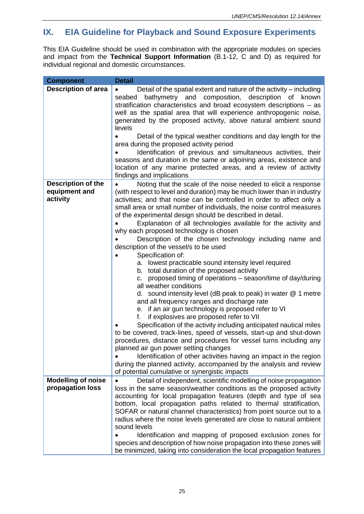# **IX. EIA Guideline for Playback and Sound Exposure Experiments**

This EIA Guideline should be used in combination with the appropriate modules on species and impact from the **Technical Support Information** (B.1-12, C and D) as required for individual regional and domestic circumstances.

| <b>Component</b>                                       | <b>Detail</b>                                                                                                                                                                                                                                                                                                                                                                                                                                                                                                                                                                                                                                                                                                                                                                                                                                                                                                                                                                                                                                                                                                                                                                                                                                                                                                                                                                                                                         |
|--------------------------------------------------------|---------------------------------------------------------------------------------------------------------------------------------------------------------------------------------------------------------------------------------------------------------------------------------------------------------------------------------------------------------------------------------------------------------------------------------------------------------------------------------------------------------------------------------------------------------------------------------------------------------------------------------------------------------------------------------------------------------------------------------------------------------------------------------------------------------------------------------------------------------------------------------------------------------------------------------------------------------------------------------------------------------------------------------------------------------------------------------------------------------------------------------------------------------------------------------------------------------------------------------------------------------------------------------------------------------------------------------------------------------------------------------------------------------------------------------------|
| <b>Description of area</b>                             | Detail of the spatial extent and nature of the activity – including<br>bathymetry and composition, description of known<br>seabed<br>stratification characteristics and broad ecosystem descriptions - as<br>well as the spatial area that will experience anthropogenic noise,<br>generated by the proposed activity, above natural ambient sound<br>levels<br>Detail of the typical weather conditions and day length for the<br>area during the proposed activity period<br>Identification of previous and simultaneous activities, their<br>seasons and duration in the same or adjoining areas, existence and<br>location of any marine protected areas, and a review of activity<br>findings and implications                                                                                                                                                                                                                                                                                                                                                                                                                                                                                                                                                                                                                                                                                                                   |
| <b>Description of the</b><br>equipment and<br>activity | Noting that the scale of the noise needed to elicit a response<br>(with respect to level and duration) may be much lower than in industry<br>activities; and that noise can be controlled in order to affect only a<br>small area or small number of individuals, the noise control measures<br>of the experimental design should be described in detail.<br>Explanation of all technologies available for the activity and<br>why each proposed technology is chosen<br>Description of the chosen technology including name and<br>description of the vessel/s to be used<br>Specification of:<br>a. lowest practicable sound intensity level required<br>b. total duration of the proposed activity<br>proposed timing of operations - season/time of day/during<br>C.<br>all weather conditions<br>d. sound intensity level (dB peak to peak) in water $@$ 1 metre<br>and all frequency ranges and discharge rate<br>e. if an air gun technology is proposed refer to VI<br>if explosives are proposed refer to VII<br>f.<br>Specification of the activity including anticipated nautical miles<br>to be covered, track-lines, speed of vessels, start-up and shut-down<br>procedures, distance and procedures for vessel turns including any<br>planned air gun power setting changes<br>Identification of other activities having an impact in the region<br>during the planned activity, accompanied by the analysis and review |
| <b>Modelling of noise</b><br>propagation loss          | of potential cumulative or synergistic impacts<br>Detail of independent, scientific modelling of noise propagation<br>loss in the same season/weather conditions as the proposed activity<br>accounting for local propagation features (depth and type of sea<br>bottom, local propagation paths related to thermal stratification,<br>SOFAR or natural channel characteristics) from point source out to a<br>radius where the noise levels generated are close to natural ambient<br>sound levels<br>Identification and mapping of proposed exclusion zones for<br>species and description of how noise propagation into these zones will<br>be minimized, taking into consideration the local propagation features                                                                                                                                                                                                                                                                                                                                                                                                                                                                                                                                                                                                                                                                                                                 |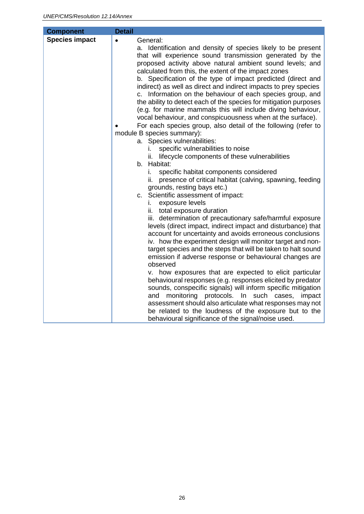| <b>Component</b>      | <b>Detail</b>                                                                                                                                                                                                                                                                                                                                                                                                                                                                                                                                                                                                                                                                                                                                                                                                                                                                                                                                                                                                                   |
|-----------------------|---------------------------------------------------------------------------------------------------------------------------------------------------------------------------------------------------------------------------------------------------------------------------------------------------------------------------------------------------------------------------------------------------------------------------------------------------------------------------------------------------------------------------------------------------------------------------------------------------------------------------------------------------------------------------------------------------------------------------------------------------------------------------------------------------------------------------------------------------------------------------------------------------------------------------------------------------------------------------------------------------------------------------------|
| <b>Species impact</b> | General:<br>$\bullet$<br>a. Identification and density of species likely to be present<br>that will experience sound transmission generated by the<br>proposed activity above natural ambient sound levels; and<br>calculated from this, the extent of the impact zones<br>b. Specification of the type of impact predicted (direct and<br>indirect) as well as direct and indirect impacts to prey species<br>c. Information on the behaviour of each species group, and<br>the ability to detect each of the species for mitigation purposes<br>(e.g. for marine mammals this will include diving behaviour,<br>vocal behaviour, and conspicuousness when at the surface).<br>For each species group, also detail of the following (refer to<br>module B species summary):<br>a. Species vulnerabilities:<br>specific vulnerabilities to noise<br>lifecycle components of these vulnerabilities<br>ii.<br>b. Habitat:<br>specific habitat components considered<br>İ.                                                         |
|                       | presence of critical habitat (calving, spawning, feeding<br>ii.<br>grounds, resting bays etc.)<br>c. Scientific assessment of impact:<br>exposure levels<br>i.<br>total exposure duration<br>ii.<br>iii. determination of precautionary safe/harmful exposure<br>levels (direct impact, indirect impact and disturbance) that<br>account for uncertainty and avoids erroneous conclusions<br>iv. how the experiment design will monitor target and non-<br>target species and the steps that will be taken to halt sound<br>emission if adverse response or behavioural changes are<br>observed<br>v. how exposures that are expected to elicit particular<br>behavioural responses (e.g. responses elicited by predator<br>sounds, conspecific signals) will inform specific mitigation<br>monitoring protocols.<br>In such cases,<br>and<br>impact<br>assessment should also articulate what responses may not<br>be related to the loudness of the exposure but to the<br>behavioural significance of the signal/noise used. |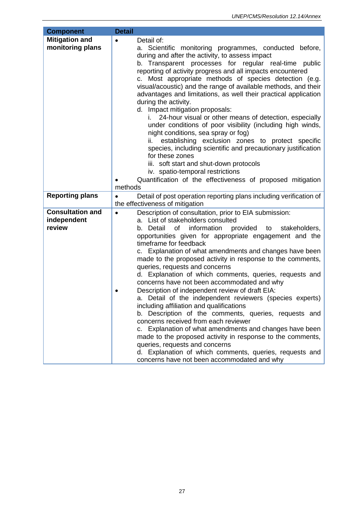<span id="page-26-0"></span>

| <b>Component</b>                                 | <b>Detail</b>                                                                                                                                                                                                                                                                                                                                                                                                                                                                                                                                                                                                                                                                                                                                                                                                                                                                                                                                                                                                                                                    |
|--------------------------------------------------|------------------------------------------------------------------------------------------------------------------------------------------------------------------------------------------------------------------------------------------------------------------------------------------------------------------------------------------------------------------------------------------------------------------------------------------------------------------------------------------------------------------------------------------------------------------------------------------------------------------------------------------------------------------------------------------------------------------------------------------------------------------------------------------------------------------------------------------------------------------------------------------------------------------------------------------------------------------------------------------------------------------------------------------------------------------|
| <b>Mitigation and</b><br>monitoring plans        | Detail of:<br>a. Scientific monitoring programmes, conducted before,<br>during and after the activity, to assess impact<br>b. Transparent processes for regular real-time public<br>reporting of activity progress and all impacts encountered<br>c. Most appropriate methods of species detection (e.g.<br>visual/acoustic) and the range of available methods, and their<br>advantages and limitations, as well their practical application<br>during the activity.<br>d. Impact mitigation proposals:<br>24-hour visual or other means of detection, especially<br>i.<br>under conditions of poor visibility (including high winds,<br>night conditions, sea spray or fog)<br>establishing exclusion zones to protect specific<br>ii. –<br>species, including scientific and precautionary justification<br>for these zones<br>iii. soft start and shut-down protocols<br>iv. spatio-temporal restrictions<br>Quantification of the effectiveness of proposed mitigation<br>methods                                                                           |
| <b>Reporting plans</b>                           | Detail of post operation reporting plans including verification of<br>$\bullet$<br>the effectiveness of mitigation                                                                                                                                                                                                                                                                                                                                                                                                                                                                                                                                                                                                                                                                                                                                                                                                                                                                                                                                               |
| <b>Consultation and</b><br>independent<br>review | Description of consultation, prior to EIA submission:<br>$\bullet$<br>a. List of stakeholders consulted<br>b. Detail<br>of<br>information provided to<br>stakeholders,<br>opportunities given for appropriate engagement and the<br>timeframe for feedback<br>c. Explanation of what amendments and changes have been<br>made to the proposed activity in response to the comments,<br>queries, requests and concerns<br>d. Explanation of which comments, queries, requests and<br>concerns have not been accommodated and why<br>Description of independent review of draft EIA:<br>a. Detail of the independent reviewers (species experts)<br>including affiliation and qualifications<br>b. Description of the comments, queries, requests and<br>concerns received from each reviewer<br>c. Explanation of what amendments and changes have been<br>made to the proposed activity in response to the comments,<br>queries, requests and concerns<br>d. Explanation of which comments, queries, requests and<br>concerns have not been accommodated and why |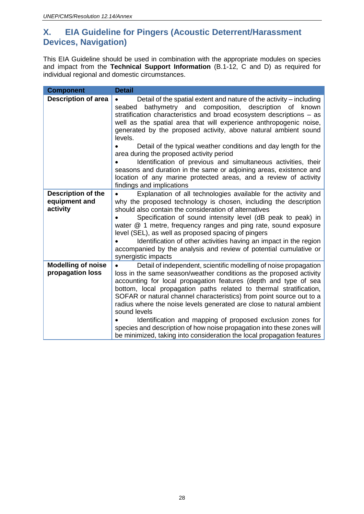### **X. EIA Guideline for Pingers (Acoustic Deterrent/Harassment Devices, Navigation)**

This EIA Guideline should be used in combination with the appropriate modules on species and impact from the **Technical Support Information** (B.1-12, C and D) as required for individual regional and domestic circumstances.

| <b>Component</b>                                       | <b>Detail</b>                                                                                                                                                                                                                                                                                                                                                                                                                                                                                                                                                                                                                                                                                                                           |
|--------------------------------------------------------|-----------------------------------------------------------------------------------------------------------------------------------------------------------------------------------------------------------------------------------------------------------------------------------------------------------------------------------------------------------------------------------------------------------------------------------------------------------------------------------------------------------------------------------------------------------------------------------------------------------------------------------------------------------------------------------------------------------------------------------------|
| <b>Description of area</b>                             | Detail of the spatial extent and nature of the activity – including<br>$\bullet$<br>and composition, description of<br>bathymetry<br>seabed<br>known<br>stratification characteristics and broad ecosystem descriptions – as<br>well as the spatial area that will experience anthropogenic noise,<br>generated by the proposed activity, above natural ambient sound<br>levels.<br>Detail of the typical weather conditions and day length for the<br>area during the proposed activity period<br>Identification of previous and simultaneous activities, their<br>seasons and duration in the same or adjoining areas, existence and<br>location of any marine protected areas, and a review of activity<br>findings and implications |
| <b>Description of the</b><br>equipment and<br>activity | Explanation of all technologies available for the activity and<br>why the proposed technology is chosen, including the description<br>should also contain the consideration of alternatives<br>Specification of sound intensity level (dB peak to peak) in<br>water @ 1 metre, frequency ranges and ping rate, sound exposure<br>level (SEL), as well as proposed spacing of pingers<br>Identification of other activities having an impact in the region<br>accompanied by the analysis and review of potential cumulative or<br>synergistic impacts                                                                                                                                                                                   |
| <b>Modelling of noise</b><br>propagation loss          | Detail of independent, scientific modelling of noise propagation<br>loss in the same season/weather conditions as the proposed activity<br>accounting for local propagation features (depth and type of sea<br>bottom, local propagation paths related to thermal stratification,<br>SOFAR or natural channel characteristics) from point source out to a<br>radius where the noise levels generated are close to natural ambient<br>sound levels<br>Identification and mapping of proposed exclusion zones for<br>species and description of how noise propagation into these zones will<br>be minimized, taking into consideration the local propagation features                                                                     |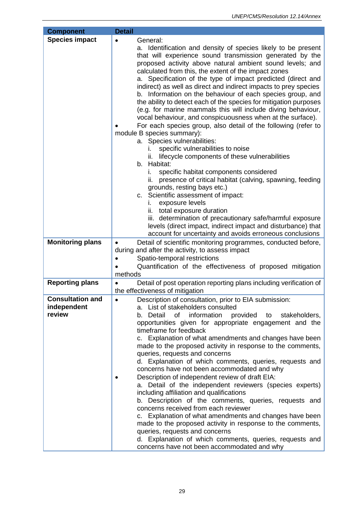| <b>Component</b>                                 | <b>Detail</b>                                                                                                                                                                                                                                                                                                                                                                                                                                                                                                                                                                                                                                                                                                                                                                                                                                                                                                                                                                                                                                                          |
|--------------------------------------------------|------------------------------------------------------------------------------------------------------------------------------------------------------------------------------------------------------------------------------------------------------------------------------------------------------------------------------------------------------------------------------------------------------------------------------------------------------------------------------------------------------------------------------------------------------------------------------------------------------------------------------------------------------------------------------------------------------------------------------------------------------------------------------------------------------------------------------------------------------------------------------------------------------------------------------------------------------------------------------------------------------------------------------------------------------------------------|
| <b>Species impact</b>                            | General:<br>a. Identification and density of species likely to be present<br>that will experience sound transmission generated by the<br>proposed activity above natural ambient sound levels; and<br>calculated from this, the extent of the impact zones<br>a. Specification of the type of impact predicted (direct and<br>indirect) as well as direct and indirect impacts to prey species<br>b. Information on the behaviour of each species group, and<br>the ability to detect each of the species for mitigation purposes<br>(e.g. for marine mammals this will include diving behaviour,<br>vocal behaviour, and conspicuousness when at the surface).<br>For each species group, also detail of the following (refer to<br>module B species summary):<br>a. Species vulnerabilities:<br>specific vulnerabilities to noise<br>lifecycle components of these vulnerabilities<br>ii.<br>b. Habitat:<br>specific habitat components considered<br>i.<br>presence of critical habitat (calving, spawning, feeding<br>ii.<br>grounds, resting bays etc.)           |
|                                                  | c. Scientific assessment of impact:<br>exposure levels<br>i.<br>ii. total exposure duration<br>iii. determination of precautionary safe/harmful exposure<br>levels (direct impact, indirect impact and disturbance) that                                                                                                                                                                                                                                                                                                                                                                                                                                                                                                                                                                                                                                                                                                                                                                                                                                               |
|                                                  | account for uncertainty and avoids erroneous conclusions                                                                                                                                                                                                                                                                                                                                                                                                                                                                                                                                                                                                                                                                                                                                                                                                                                                                                                                                                                                                               |
| <b>Monitoring plans</b>                          | Detail of scientific monitoring programmes, conducted before,<br>$\bullet$<br>during and after the activity, to assess impact<br>Spatio-temporal restrictions<br>Quantification of the effectiveness of proposed mitigation<br>methods                                                                                                                                                                                                                                                                                                                                                                                                                                                                                                                                                                                                                                                                                                                                                                                                                                 |
| <b>Reporting plans</b>                           | Detail of post operation reporting plans including verification of<br>the effectiveness of mitigation                                                                                                                                                                                                                                                                                                                                                                                                                                                                                                                                                                                                                                                                                                                                                                                                                                                                                                                                                                  |
| <b>Consultation and</b><br>independent<br>review | Description of consultation, prior to EIA submission:<br>$\bullet$<br>a. List of stakeholders consulted<br>b. Detail<br>of<br>information<br>provided<br>stakeholders,<br>to<br>opportunities given for appropriate engagement and the<br>timeframe for feedback<br>c. Explanation of what amendments and changes have been<br>made to the proposed activity in response to the comments,<br>queries, requests and concerns<br>d. Explanation of which comments, queries, requests and<br>concerns have not been accommodated and why<br>Description of independent review of draft EIA:<br>a. Detail of the independent reviewers (species experts)<br>including affiliation and qualifications<br>b. Description of the comments, queries, requests and<br>concerns received from each reviewer<br>c. Explanation of what amendments and changes have been<br>made to the proposed activity in response to the comments,<br>queries, requests and concerns<br>d. Explanation of which comments, queries, requests and<br>concerns have not been accommodated and why |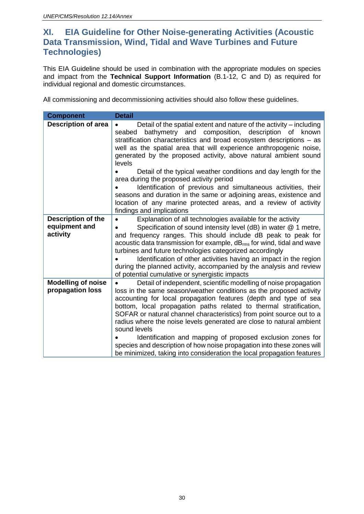### <span id="page-29-0"></span>**XI. EIA Guideline for Other Noise-generating Activities (Acoustic Data Transmission, Wind, Tidal and Wave Turbines and Future Technologies)**

This EIA Guideline should be used in combination with the appropriate modules on species and impact from the **Technical Support Information** (B.1-12, C and D) as required for individual regional and domestic circumstances.

All commissioning and decommissioning activities should also follow these guidelines.

| <b>Component</b>                                       | <b>Detail</b>                                                                                                                                                                                                                                                                                                                                                                                                                                                                                                                                                                                                                                                                                                                |
|--------------------------------------------------------|------------------------------------------------------------------------------------------------------------------------------------------------------------------------------------------------------------------------------------------------------------------------------------------------------------------------------------------------------------------------------------------------------------------------------------------------------------------------------------------------------------------------------------------------------------------------------------------------------------------------------------------------------------------------------------------------------------------------------|
| <b>Description of area</b>                             | Detail of the spatial extent and nature of the activity – including<br>bathymetry and<br>composition,<br>description of<br>seabed<br>known<br>stratification characteristics and broad ecosystem descriptions – as<br>well as the spatial area that will experience anthropogenic noise,<br>generated by the proposed activity, above natural ambient sound<br>levels<br>Detail of the typical weather conditions and day length for the<br>area during the proposed activity period<br>Identification of previous and simultaneous activities, their<br>seasons and duration in the same or adjoining areas, existence and<br>location of any marine protected areas, and a review of activity<br>findings and implications |
| <b>Description of the</b><br>equipment and<br>activity | Explanation of all technologies available for the activity<br>$\bullet$<br>Specification of sound intensity level (dB) in water @ 1 metre,<br>and frequency ranges. This should include dB peak to peak for<br>acoustic data transmission for example, $dB_{rms}$ for wind, tidal and wave<br>turbines and future technologies categorized accordingly<br>Identification of other activities having an impact in the region<br>during the planned activity, accompanied by the analysis and review<br>of potential cumulative or synergistic impacts                                                                                                                                                                         |
| <b>Modelling of noise</b><br>propagation loss          | Detail of independent, scientific modelling of noise propagation<br>$\bullet$<br>loss in the same season/weather conditions as the proposed activity<br>accounting for local propagation features (depth and type of sea<br>bottom, local propagation paths related to thermal stratification,<br>SOFAR or natural channel characteristics) from point source out to a<br>radius where the noise levels generated are close to natural ambient<br>sound levels<br>Identification and mapping of proposed exclusion zones for<br>species and description of how noise propagation into these zones will<br>be minimized, taking into consideration the local propagation features                                             |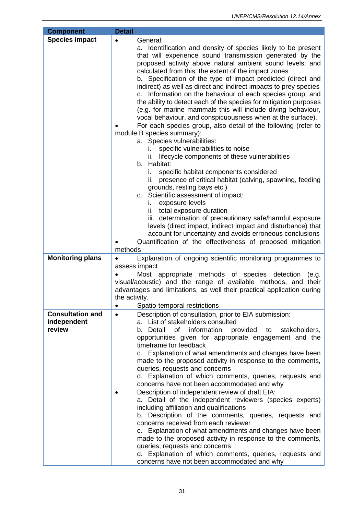| <b>Component</b>        | <b>Detail</b>                                                                                                                                                                                                                                                                                                                                                                                                                                                                                                                                                                                                                                                                                                                                                                                                                                                                                                                                                                                                                                                                                                                                                                                                                                                                                                                                                                                                                                |
|-------------------------|----------------------------------------------------------------------------------------------------------------------------------------------------------------------------------------------------------------------------------------------------------------------------------------------------------------------------------------------------------------------------------------------------------------------------------------------------------------------------------------------------------------------------------------------------------------------------------------------------------------------------------------------------------------------------------------------------------------------------------------------------------------------------------------------------------------------------------------------------------------------------------------------------------------------------------------------------------------------------------------------------------------------------------------------------------------------------------------------------------------------------------------------------------------------------------------------------------------------------------------------------------------------------------------------------------------------------------------------------------------------------------------------------------------------------------------------|
| <b>Species impact</b>   | General:<br>$\bullet$<br>a. Identification and density of species likely to be present<br>that will experience sound transmission generated by the<br>proposed activity above natural ambient sound levels; and<br>calculated from this, the extent of the impact zones<br>b. Specification of the type of impact predicted (direct and<br>indirect) as well as direct and indirect impacts to prey species<br>Information on the behaviour of each species group, and<br>C.<br>the ability to detect each of the species for mitigation purposes<br>(e.g. for marine mammals this will include diving behaviour,<br>vocal behaviour, and conspicuousness when at the surface).<br>For each species group, also detail of the following (refer to<br>module B species summary):<br>a. Species vulnerabilities:<br>specific vulnerabilities to noise<br>lifecycle components of these vulnerabilities<br>Ш.<br>b. Habitat:<br>specific habitat components considered<br>i.<br>presence of critical habitat (calving, spawning, feeding<br>ii.<br>grounds, resting bays etc.)<br>c. Scientific assessment of impact:<br>exposure levels<br>i.<br>ii. total exposure duration<br>iii. determination of precautionary safe/harmful exposure<br>levels (direct impact, indirect impact and disturbance) that<br>account for uncertainty and avoids erroneous conclusions<br>Quantification of the effectiveness of proposed mitigation<br>methods |
| <b>Monitoring plans</b> | Explanation of ongoing scientific monitoring programmes to<br>$\bullet$<br>assess impact<br>Most appropriate methods of species detection<br>(e.g.<br>visual/acoustic) and the range of available methods, and their<br>advantages and limitations, as well their practical application during<br>the activity.<br>Spatio-temporal restrictions                                                                                                                                                                                                                                                                                                                                                                                                                                                                                                                                                                                                                                                                                                                                                                                                                                                                                                                                                                                                                                                                                              |
| <b>Consultation and</b> | Description of consultation, prior to EIA submission:<br>$\bullet$                                                                                                                                                                                                                                                                                                                                                                                                                                                                                                                                                                                                                                                                                                                                                                                                                                                                                                                                                                                                                                                                                                                                                                                                                                                                                                                                                                           |
| independent<br>review   | a. List of stakeholders consulted<br>information<br>provided to<br>b. Detail<br>of<br>stakeholders,<br>opportunities given for appropriate engagement and the<br>timeframe for feedback<br>c. Explanation of what amendments and changes have been<br>made to the proposed activity in response to the comments,<br>queries, requests and concerns<br>d. Explanation of which comments, queries, requests and<br>concerns have not been accommodated and why<br>Description of independent review of draft EIA:<br>a. Detail of the independent reviewers (species experts)<br>including affiliation and qualifications<br>b. Description of the comments, queries, requests and<br>concerns received from each reviewer<br>c. Explanation of what amendments and changes have been<br>made to the proposed activity in response to the comments,<br>queries, requests and concerns<br>d. Explanation of which comments, queries, requests and<br>concerns have not been accommodated and why                                                                                                                                                                                                                                                                                                                                                                                                                                                |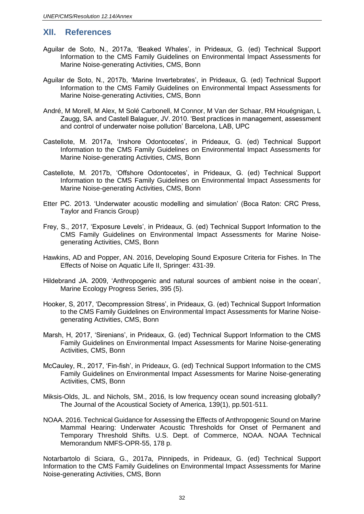#### <span id="page-31-0"></span>**XII. References**

- Aguilar de Soto, N., 2017a, 'Beaked Whales', in Prideaux, G. (ed) Technical Support Information to the CMS Family Guidelines on Environmental Impact Assessments for Marine Noise-generating Activities, CMS, Bonn
- Aguilar de Soto, N., 2017b, 'Marine Invertebrates', in Prideaux, G. (ed) Technical Support Information to the CMS Family Guidelines on Environmental Impact Assessments for Marine Noise-generating Activities, CMS, Bonn
- André, M Morell, M Alex, M Solé Carbonell, M Connor, M Van der Schaar, RM Houégnigan, L Zaugg, SA. and Castell Balaguer, JV. 2010. 'Best practices in management, assessment and control of underwater noise pollution' Barcelona, LAB, UPC
- Castellote, M. 2017a, 'Inshore Odontocetes', in Prideaux, G. (ed) Technical Support Information to the CMS Family Guidelines on Environmental Impact Assessments for Marine Noise-generating Activities, CMS, Bonn
- Castellote, M. 2017b, 'Offshore Odontocetes', in Prideaux, G. (ed) Technical Support Information to the CMS Family Guidelines on Environmental Impact Assessments for Marine Noise-generating Activities, CMS, Bonn
- Etter PC. 2013. 'Underwater acoustic modelling and simulation' (Boca Raton: CRC Press, Taylor and Francis Group)
- Frey, S., 2017, 'Exposure Levels', in Prideaux, G. (ed) Technical Support Information to the CMS Family Guidelines on Environmental Impact Assessments for Marine Noisegenerating Activities, CMS, Bonn
- Hawkins, AD and Popper, AN. 2016, Developing Sound Exposure Criteria for Fishes. In The Effects of Noise on Aquatic Life II, Springer: 431-39.
- Hildebrand JA. 2009, 'Anthropogenic and natural sources of ambient noise in the ocean', Marine Ecology Progress Series, 395 (5).
- Hooker, S, 2017, 'Decompression Stress', in Prideaux, G. (ed) Technical Support Information to the CMS Family Guidelines on Environmental Impact Assessments for Marine Noisegenerating Activities, CMS, Bonn
- Marsh, H, 2017, 'Sirenians', in Prideaux, G. (ed) Technical Support Information to the CMS Family Guidelines on Environmental Impact Assessments for Marine Noise-generating Activities, CMS, Bonn
- McCauley, R., 2017, 'Fin-fish', in Prideaux, G. (ed) Technical Support Information to the CMS Family Guidelines on Environmental Impact Assessments for Marine Noise-generating Activities, CMS, Bonn
- Miksis-Olds, JL. and Nichols, SM., 2016, Is low frequency ocean sound increasing globally? The Journal of the Acoustical Society of America, 139(1), pp.501-511.
- NOAA. 2016. Technical Guidance for Assessing the Effects of Anthropogenic Sound on Marine Mammal Hearing: Underwater Acoustic Thresholds for Onset of Permanent and Temporary Threshold Shifts. U.S. Dept. of Commerce, NOAA. NOAA Technical Memorandum NMFS-OPR-55, 178 p.

Notarbartolo di Sciara, G., 2017a, Pinnipeds, in Prideaux, G. (ed) Technical Support Information to the CMS Family Guidelines on Environmental Impact Assessments for Marine Noise-generating Activities, CMS, Bonn